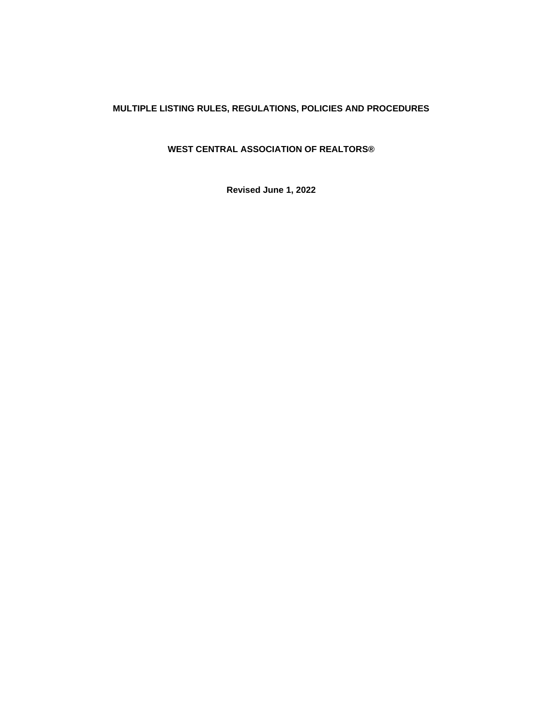# **MULTIPLE LISTING RULES, REGULATIONS, POLICIES AND PROCEDURES**

# **WEST CENTRAL ASSOCIATION OF REALTORS®**

**Revised June 1, 2022**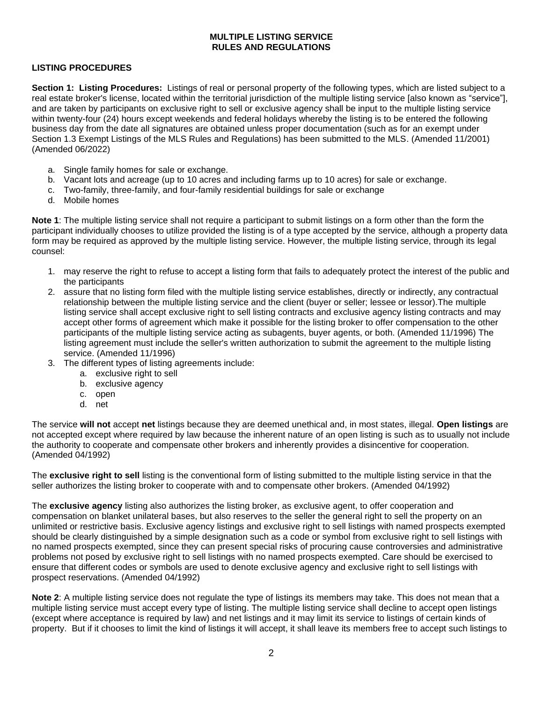### **MULTIPLE LISTING SERVICE RULES AND REGULATIONS**

### **LISTING PROCEDURES**

**Section 1: Listing Procedures:** Listings of real or personal property of the following types, which are listed subject to a real estate broker's license, located within the territorial jurisdiction of the multiple listing service [also known as "service"], and are taken by participants on exclusive right to sell or exclusive agency shall be input to the multiple listing service within twenty-four (24) hours except weekends and federal holidays whereby the listing is to be entered the following business day from the date all signatures are obtained unless proper documentation (such as for an exempt under Section 1.3 Exempt Listings of the MLS Rules and Regulations) has been submitted to the MLS. (Amended 11/2001) (Amended 06/2022)

- a. Single family homes for sale or exchange.
- b. Vacant lots and acreage (up to 10 acres and including farms up to 10 acres) for sale or exchange.
- c. Two-family, three-family, and four-family residential buildings for sale or exchange
- d. Mobile homes

**Note 1**: The multiple listing service shall not require a participant to submit listings on a form other than the form the participant individually chooses to utilize provided the listing is of a type accepted by the service, although a property data form may be required as approved by the multiple listing service. However, the multiple listing service, through its legal counsel:

- 1. may reserve the right to refuse to accept a listing form that fails to adequately protect the interest of the public and the participants
- 2. assure that no listing form filed with the multiple listing service establishes, directly or indirectly, any contractual relationship between the multiple listing service and the client (buyer or seller; lessee or lessor).The multiple listing service shall accept exclusive right to sell listing contracts and exclusive agency listing contracts and may accept other forms of agreement which make it possible for the listing broker to offer compensation to the other participants of the multiple listing service acting as subagents, buyer agents, or both. (Amended 11/1996) The listing agreement must include the seller's written authorization to submit the agreement to the multiple listing service. (Amended 11/1996)
- 3. The different types of listing agreements include:
	- a. exclusive right to sell
	- b. exclusive agency
	- c. open
	- d. net

The service **will not** accept **net** listings because they are deemed unethical and, in most states, illegal. **Open listings** are not accepted except where required by law because the inherent nature of an open listing is such as to usually not include the authority to cooperate and compensate other brokers and inherently provides a disincentive for cooperation. (Amended 04/1992)

The **exclusive right to sell** listing is the conventional form of listing submitted to the multiple listing service in that the seller authorizes the listing broker to cooperate with and to compensate other brokers. (Amended 04/1992)

The **exclusive agency** listing also authorizes the listing broker, as exclusive agent, to offer cooperation and compensation on blanket unilateral bases, but also reserves to the seller the general right to sell the property on an unlimited or restrictive basis. Exclusive agency listings and exclusive right to sell listings with named prospects exempted should be clearly distinguished by a simple designation such as a code or symbol from exclusive right to sell listings with no named prospects exempted, since they can present special risks of procuring cause controversies and administrative problems not posed by exclusive right to sell listings with no named prospects exempted. Care should be exercised to ensure that different codes or symbols are used to denote exclusive agency and exclusive right to sell listings with prospect reservations. (Amended 04/1992)

**Note 2**: A multiple listing service does not regulate the type of listings its members may take. This does not mean that a multiple listing service must accept every type of listing. The multiple listing service shall decline to accept open listings (except where acceptance is required by law) and net listings and it may limit its service to listings of certain kinds of property. But if it chooses to limit the kind of listings it will accept, it shall leave its members free to accept such listings to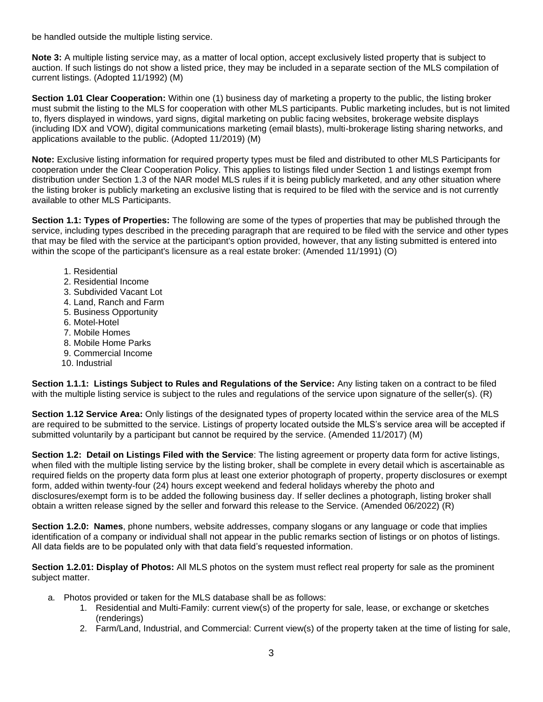be handled outside the multiple listing service.

**Note 3:** A multiple listing service may, as a matter of local option, accept exclusively listed property that is subject to auction. If such listings do not show a listed price, they may be included in a separate section of the MLS compilation of current listings. (Adopted 11/1992) (M)

**Section 1.01 Clear Cooperation:** Within one (1) business day of marketing a property to the public, the listing broker must submit the listing to the MLS for cooperation with other MLS participants. Public marketing includes, but is not limited to, flyers displayed in windows, yard signs, digital marketing on public facing websites, brokerage website displays (including IDX and VOW), digital communications marketing (email blasts), multi-brokerage listing sharing networks, and applications available to the public. (Adopted 11/2019) (M)

**Note:** Exclusive listing information for required property types must be filed and distributed to other MLS Participants for cooperation under the Clear Cooperation Policy. This applies to listings filed under Section 1 and listings exempt from distribution under Section 1.3 of the NAR model MLS rules if it is being publicly marketed, and any other situation where the listing broker is publicly marketing an exclusive listing that is required to be filed with the service and is not currently available to other MLS Participants.

**Section 1.1: Types of Properties:** The following are some of the types of properties that may be published through the service, including types described in the preceding paragraph that are required to be filed with the service and other types that may be filed with the service at the participant's option provided, however, that any listing submitted is entered into within the scope of the participant's licensure as a real estate broker: (Amended 11/1991) (O)

- 1. Residential
- 2. Residential Income
- 3. Subdivided Vacant Lot
- 4. Land, Ranch and Farm
- 5. Business Opportunity
- 6. Motel-Hotel
- 7. Mobile Homes
- 8. Mobile Home Parks
- 9. Commercial Income
- 10. Industrial

**Section 1.1.1: Listings Subject to Rules and Regulations of the Service:** Any listing taken on a contract to be filed with the multiple listing service is subject to the rules and regulations of the service upon signature of the seller(s). (R)

**Section 1.12 Service Area:** Only listings of the designated types of property located within the service area of the MLS are required to be submitted to the service. Listings of property located outside the MLS's service area will be accepted if submitted voluntarily by a participant but cannot be required by the service. (Amended 11/2017) (M)

**Section 1.2: Detail on Listings Filed with the Service**: The listing agreement or property data form for active listings, when filed with the multiple listing service by the listing broker, shall be complete in every detail which is ascertainable as required fields on the property data form plus at least one exterior photograph of property, property disclosures or exempt form, added within twenty-four (24) hours except weekend and federal holidays whereby the photo and disclosures/exempt form is to be added the following business day. If seller declines a photograph, listing broker shall obtain a written release signed by the seller and forward this release to the Service. (Amended 06/2022) (R)

**Section 1.2.0: Names**, phone numbers, website addresses, company slogans or any language or code that implies identification of a company or individual shall not appear in the public remarks section of listings or on photos of listings. All data fields are to be populated only with that data field's requested information.

**Section 1.2.01: Display of Photos:** All MLS photos on the system must reflect real property for sale as the prominent subject matter.

- a. Photos provided or taken for the MLS database shall be as follows:
	- 1. Residential and Multi-Family: current view(s) of the property for sale, lease, or exchange or sketches (renderings)
	- 2. Farm/Land, Industrial, and Commercial: Current view(s) of the property taken at the time of listing for sale,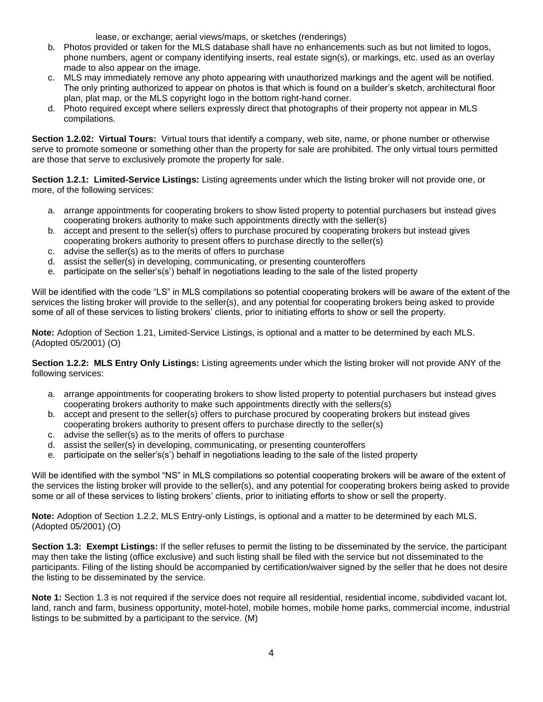lease, or exchange; aerial views/maps, or sketches (renderings)

- b. Photos provided or taken for the MLS database shall have no enhancements such as but not limited to logos, phone numbers, agent or company identifying inserts, real estate sign(s), or markings, etc. used as an overlay made to also appear on the image.
- c. MLS may immediately remove any photo appearing with unauthorized markings and the agent will be notified. The only printing authorized to appear on photos is that which is found on a builder's sketch, architectural floor plan, plat map, or the MLS copyright logo in the bottom right-hand corner.
- d. Photo required except where sellers expressly direct that photographs of their property not appear in MLS compilations.

**Section 1.2.02: Virtual Tours:** Virtual tours that identify a company, web site, name, or phone number or otherwise serve to promote someone or something other than the property for sale are prohibited. The only virtual tours permitted are those that serve to exclusively promote the property for sale.

**Section 1.2.1: Limited-Service Listings:** Listing agreements under which the listing broker will not provide one, or more, of the following services:

- a. arrange appointments for cooperating brokers to show listed property to potential purchasers but instead gives cooperating brokers authority to make such appointments directly with the seller(s)
- b. accept and present to the seller(s) offers to purchase procured by cooperating brokers but instead gives cooperating brokers authority to present offers to purchase directly to the seller(s)
- c. advise the seller(s) as to the merits of offers to purchase
- d. assist the seller(s) in developing, communicating, or presenting counteroffers
- e. participate on the seller's(s') behalf in negotiations leading to the sale of the listed property

Will be identified with the code "LS" in MLS compilations so potential cooperating brokers will be aware of the extent of the services the listing broker will provide to the seller(s), and any potential for cooperating brokers being asked to provide some of all of these services to listing brokers' clients, prior to initiating efforts to show or sell the property.

**Note:** Adoption of Section 1.21, Limited-Service Listings, is optional and a matter to be determined by each MLS. (Adopted 05/2001) (O)

**Section 1.2.2: MLS Entry Only Listings:** Listing agreements under which the listing broker will not provide ANY of the following services:

- a. arrange appointments for cooperating brokers to show listed property to potential purchasers but instead gives cooperating brokers authority to make such appointments directly with the sellers(s)
- b. accept and present to the seller(s) offers to purchase procured by cooperating brokers but instead gives cooperating brokers authority to present offers to purchase directly to the seller(s)
- c. advise the seller(s) as to the merits of offers to purchase
- d. assist the seller(s) in developing, communicating, or presenting counteroffers
- e. participate on the seller's(s') behalf in negotiations leading to the sale of the listed property

Will be identified with the symbol "NS" in MLS compilations so potential cooperating brokers will be aware of the extent of the services the listing broker will provide to the seller(s), and any potential for cooperating brokers being asked to provide some or all of these services to listing brokers' clients, prior to initiating efforts to show or sell the property.

**Note:** Adoption of Section 1.2.2, MLS Entry-only Listings, is optional and a matter to be determined by each MLS. (Adopted 05/2001) (O)

**Section 1.3: Exempt Listings:** If the seller refuses to permit the listing to be disseminated by the service, the participant may then take the listing (office exclusive) and such listing shall be filed with the service but not disseminated to the participants. Filing of the listing should be accompanied by certification/waiver signed by the seller that he does not desire the listing to be disseminated by the service.

**Note 1:** Section 1.3 is not required if the service does not require all residential, residential income, subdivided vacant lot, land, ranch and farm, business opportunity, motel-hotel, mobile homes, mobile home parks, commercial income, industrial listings to be submitted by a participant to the service. (M)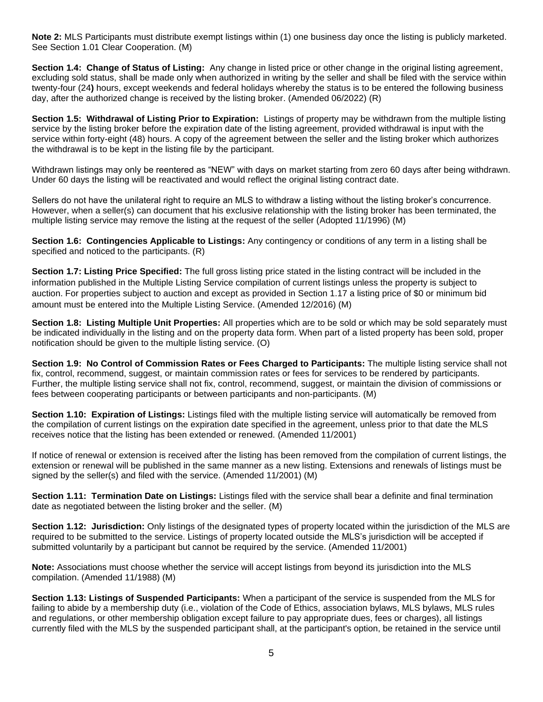**Note 2:** MLS Participants must distribute exempt listings within (1) one business day once the listing is publicly marketed. See Section 1.01 Clear Cooperation. (M)

**Section 1.4: Change of Status of Listing:** Any change in listed price or other change in the original listing agreement, excluding sold status, shall be made only when authorized in writing by the seller and shall be filed with the service within twenty-four (24**)** hours, except weekends and federal holidays whereby the status is to be entered the following business day, after the authorized change is received by the listing broker. (Amended 06/2022) (R)

**Section 1.5: Withdrawal of Listing Prior to Expiration:** Listings of property may be withdrawn from the multiple listing service by the listing broker before the expiration date of the listing agreement, provided withdrawal is input with the service within forty-eight (48) hours. A copy of the agreement between the seller and the listing broker which authorizes the withdrawal is to be kept in the listing file by the participant.

Withdrawn listings may only be reentered as "NEW" with days on market starting from zero 60 days after being withdrawn. Under 60 days the listing will be reactivated and would reflect the original listing contract date.

Sellers do not have the unilateral right to require an MLS to withdraw a listing without the listing broker's concurrence. However, when a seller(s) can document that his exclusive relationship with the listing broker has been terminated, the multiple listing service may remove the listing at the request of the seller (Adopted 11/1996) (M)

**Section 1.6: Contingencies Applicable to Listings:** Any contingency or conditions of any term in a listing shall be specified and noticed to the participants. (R)

**Section 1.7: Listing Price Specified:** The full gross listing price stated in the listing contract will be included in the information published in the Multiple Listing Service compilation of current listings unless the property is subject to auction. For properties subject to auction and except as provided in Section 1.17 a listing price of \$0 or minimum bid amount must be entered into the Multiple Listing Service. (Amended 12/2016) (M)

**Section 1.8: Listing Multiple Unit Properties:** All properties which are to be sold or which may be sold separately must be indicated individually in the listing and on the property data form. When part of a listed property has been sold, proper notification should be given to the multiple listing service. (O)

**Section 1.9: No Control of Commission Rates or Fees Charged to Participants:** The multiple listing service shall not fix, control, recommend, suggest, or maintain commission rates or fees for services to be rendered by participants. Further, the multiple listing service shall not fix, control, recommend, suggest, or maintain the division of commissions or fees between cooperating participants or between participants and non-participants. (M)

**Section 1.10: Expiration of Listings:** Listings filed with the multiple listing service will automatically be removed from the compilation of current listings on the expiration date specified in the agreement, unless prior to that date the MLS receives notice that the listing has been extended or renewed. (Amended 11/2001)

If notice of renewal or extension is received after the listing has been removed from the compilation of current listings, the extension or renewal will be published in the same manner as a new listing. Extensions and renewals of listings must be signed by the seller(s) and filed with the service. (Amended 11/2001) (M)

**Section 1.11: Termination Date on Listings:** Listings filed with the service shall bear a definite and final termination date as negotiated between the listing broker and the seller. (M)

**Section 1.12: Jurisdiction:** Only listings of the designated types of property located within the jurisdiction of the MLS are required to be submitted to the service. Listings of property located outside the MLS's jurisdiction will be accepted if submitted voluntarily by a participant but cannot be required by the service. (Amended 11/2001)

**Note:** Associations must choose whether the service will accept listings from beyond its jurisdiction into the MLS compilation. (Amended 11/1988) (M)

**Section 1.13: Listings of Suspended Participants:** When a participant of the service is suspended from the MLS for failing to abide by a membership duty (i.e., violation of the Code of Ethics, association bylaws, MLS bylaws, MLS rules and regulations, or other membership obligation except failure to pay appropriate dues, fees or charges), all listings currently filed with the MLS by the suspended participant shall, at the participant's option, be retained in the service until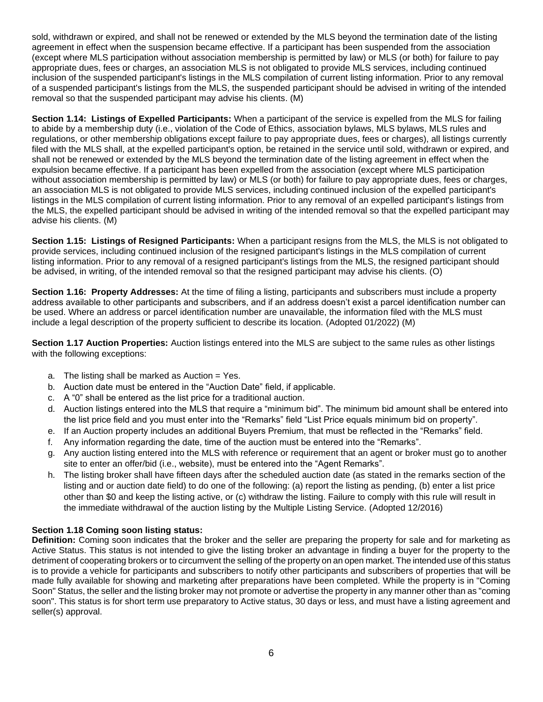sold, withdrawn or expired, and shall not be renewed or extended by the MLS beyond the termination date of the listing agreement in effect when the suspension became effective. If a participant has been suspended from the association (except where MLS participation without association membership is permitted by law) or MLS (or both) for failure to pay appropriate dues, fees or charges, an association MLS is not obligated to provide MLS services, including continued inclusion of the suspended participant's listings in the MLS compilation of current listing information. Prior to any removal of a suspended participant's listings from the MLS, the suspended participant should be advised in writing of the intended removal so that the suspended participant may advise his clients. (M)

**Section 1.14: Listings of Expelled Participants:** When a participant of the service is expelled from the MLS for failing to abide by a membership duty (i.e., violation of the Code of Ethics, association bylaws, MLS bylaws, MLS rules and regulations, or other membership obligations except failure to pay appropriate dues, fees or charges), all listings currently filed with the MLS shall, at the expelled participant's option, be retained in the service until sold, withdrawn or expired, and shall not be renewed or extended by the MLS beyond the termination date of the listing agreement in effect when the expulsion became effective. If a participant has been expelled from the association (except where MLS participation without association membership is permitted by law) or MLS (or both) for failure to pay appropriate dues, fees or charges, an association MLS is not obligated to provide MLS services, including continued inclusion of the expelled participant's listings in the MLS compilation of current listing information. Prior to any removal of an expelled participant's listings from the MLS, the expelled participant should be advised in writing of the intended removal so that the expelled participant may advise his clients. (M)

**Section 1.15: Listings of Resigned Participants:** When a participant resigns from the MLS, the MLS is not obligated to provide services, including continued inclusion of the resigned participant's listings in the MLS compilation of current listing information. Prior to any removal of a resigned participant's listings from the MLS, the resigned participant should be advised, in writing, of the intended removal so that the resigned participant may advise his clients. (O)

**Section 1.16: Property Addresses:** At the time of filing a listing, participants and subscribers must include a property address available to other participants and subscribers, and if an address doesn't exist a parcel identification number can be used. Where an address or parcel identification number are unavailable, the information filed with the MLS must include a legal description of the property sufficient to describe its location. (Adopted 01/2022) (M)

**Section 1.17 Auction Properties:** Auction listings entered into the MLS are subject to the same rules as other listings with the following exceptions:

- a. The listing shall be marked as Auction = Yes.
- b. Auction date must be entered in the "Auction Date" field, if applicable.
- c. A "0" shall be entered as the list price for a traditional auction.
- d. Auction listings entered into the MLS that require a "minimum bid". The minimum bid amount shall be entered into the list price field and you must enter into the "Remarks" field "List Price equals minimum bid on property".
- e. If an Auction property includes an additional Buyers Premium, that must be reflected in the "Remarks" field.
- f. Any information regarding the date, time of the auction must be entered into the "Remarks".
- g. Any auction listing entered into the MLS with reference or requirement that an agent or broker must go to another site to enter an offer/bid (i.e., website), must be entered into the "Agent Remarks".
- h. The listing broker shall have fifteen days after the scheduled auction date (as stated in the remarks section of the listing and or auction date field) to do one of the following: (a) report the listing as pending, (b) enter a list price other than \$0 and keep the listing active, or (c) withdraw the listing. Failure to comply with this rule will result in the immediate withdrawal of the auction listing by the Multiple Listing Service. (Adopted 12/2016)

#### **Section 1.18 Coming soon listing status:**

**Definition:** Coming soon indicates that the broker and the seller are preparing the property for sale and for marketing as Active Status. This status is not intended to give the listing broker an advantage in finding a buyer for the property to the detriment of cooperating brokers or to circumvent the selling of the property on an open market. The intended use of this status is to provide a vehicle for participants and subscribers to notify other participants and subscribers of properties that will be made fully available for showing and marketing after preparations have been completed. While the property is in "Coming Soon" Status, the seller and the listing broker may not promote or advertise the property in any manner other than as "coming soon". This status is for short term use preparatory to Active status, 30 days or less, and must have a listing agreement and seller(s) approval.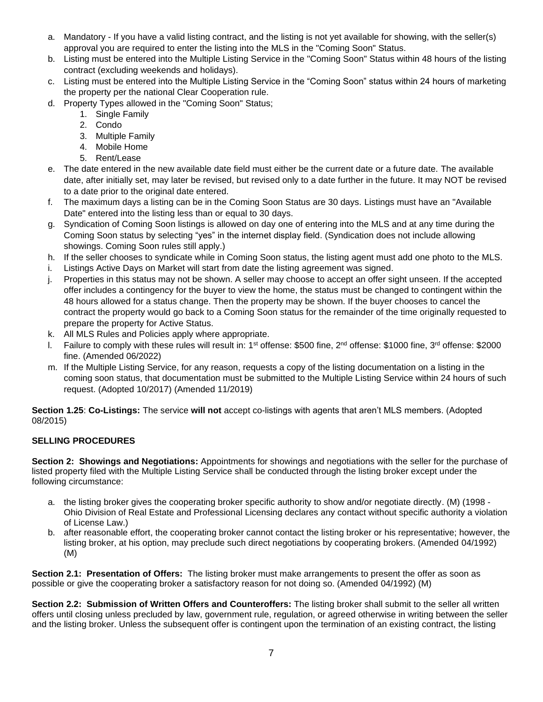- a. Mandatory If you have a valid listing contract, and the listing is not yet available for showing, with the seller(s) approval you are required to enter the listing into the MLS in the "Coming Soon" Status.
- b. Listing must be entered into the Multiple Listing Service in the "Coming Soon" Status within 48 hours of the listing contract (excluding weekends and holidays).
- c. Listing must be entered into the Multiple Listing Service in the "Coming Soon" status within 24 hours of marketing the property per the national Clear Cooperation rule.
- d. Property Types allowed in the "Coming Soon" Status;
	- 1. Single Family
	- 2. Condo
	- 3. Multiple Family
	- 4. Mobile Home
	- 5. Rent/Lease
- e. The date entered in the new available date field must either be the current date or a future date. The available date, after initially set, may later be revised, but revised only to a date further in the future. It may NOT be revised to a date prior to the original date entered.
- f. The maximum days a listing can be in the Coming Soon Status are 30 days. Listings must have an "Available Date" entered into the listing less than or equal to 30 days.
- g. Syndication of Coming Soon listings is allowed on day one of entering into the MLS and at any time during the Coming Soon status by selecting "yes" in the internet display field. (Syndication does not include allowing showings. Coming Soon rules still apply.)
- h. If the seller chooses to syndicate while in Coming Soon status, the listing agent must add one photo to the MLS.
- i. Listings Active Days on Market will start from date the listing agreement was signed.
- j. Properties in this status may not be shown. A seller may choose to accept an offer sight unseen. If the accepted offer includes a contingency for the buyer to view the home, the status must be changed to contingent within the 48 hours allowed for a status change. Then the property may be shown. If the buyer chooses to cancel the contract the property would go back to a Coming Soon status for the remainder of the time originally requested to prepare the property for Active Status.
- k. All MLS Rules and Policies apply where appropriate.
- I. Failure to comply with these rules will result in: 1<sup>st</sup> offense: \$500 fine, 2<sup>nd</sup> offense: \$1000 fine, 3<sup>rd</sup> offense: \$2000 fine. (Amended 06/2022)
- m. If the Multiple Listing Service, for any reason, requests a copy of the listing documentation on a listing in the coming soon status, that documentation must be submitted to the Multiple Listing Service within 24 hours of such request. (Adopted 10/2017) (Amended 11/2019)

**Section 1.25**: **Co-Listings:** The service **will not** accept co-listings with agents that aren't MLS members. (Adopted 08/2015)

### **SELLING PROCEDURES**

**Section 2: Showings and Negotiations:** Appointments for showings and negotiations with the seller for the purchase of listed property filed with the Multiple Listing Service shall be conducted through the listing broker except under the following circumstance:

- a. the listing broker gives the cooperating broker specific authority to show and/or negotiate directly. (M) (1998 Ohio Division of Real Estate and Professional Licensing declares any contact without specific authority a violation of License Law.)
- b. after reasonable effort, the cooperating broker cannot contact the listing broker or his representative; however, the listing broker, at his option, may preclude such direct negotiations by cooperating brokers. (Amended 04/1992) (M)

**Section 2.1: Presentation of Offers:** The listing broker must make arrangements to present the offer as soon as possible or give the cooperating broker a satisfactory reason for not doing so. (Amended 04/1992) (M)

**Section 2.2: Submission of Written Offers and Counteroffers:** The listing broker shall submit to the seller all written offers until closing unless precluded by law, government rule, regulation, or agreed otherwise in writing between the seller and the listing broker. Unless the subsequent offer is contingent upon the termination of an existing contract, the listing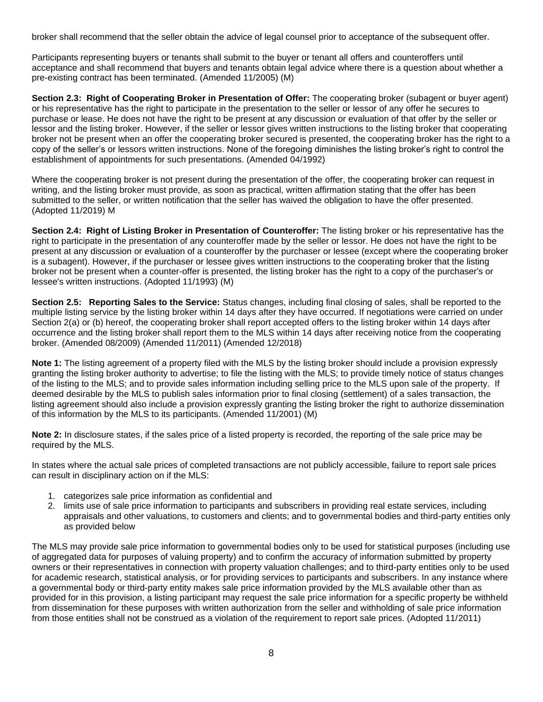broker shall recommend that the seller obtain the advice of legal counsel prior to acceptance of the subsequent offer.

Participants representing buyers or tenants shall submit to the buyer or tenant all offers and counteroffers until acceptance and shall recommend that buyers and tenants obtain legal advice where there is a question about whether a pre-existing contract has been terminated. (Amended 11/2005) (M)

**Section 2.3: Right of Cooperating Broker in Presentation of Offer:** The cooperating broker (subagent or buyer agent) or his representative has the right to participate in the presentation to the seller or lessor of any offer he secures to purchase or lease. He does not have the right to be present at any discussion or evaluation of that offer by the seller or lessor and the listing broker. However, if the seller or lessor gives written instructions to the listing broker that cooperating broker not be present when an offer the cooperating broker secured is presented, the cooperating broker has the right to a copy of the seller's or lessors written instructions. None of the foregoing diminishes the listing broker's right to control the establishment of appointments for such presentations. (Amended 04/1992)

Where the cooperating broker is not present during the presentation of the offer, the cooperating broker can request in writing, and the listing broker must provide, as soon as practical, written affirmation stating that the offer has been submitted to the seller, or written notification that the seller has waived the obligation to have the offer presented. (Adopted 11/2019) M

**Section 2.4: Right of Listing Broker in Presentation of Counteroffer:** The listing broker or his representative has the right to participate in the presentation of any counteroffer made by the seller or lessor. He does not have the right to be present at any discussion or evaluation of a counteroffer by the purchaser or lessee (except where the cooperating broker is a subagent). However, if the purchaser or lessee gives written instructions to the cooperating broker that the listing broker not be present when a counter-offer is presented, the listing broker has the right to a copy of the purchaser's or lessee's written instructions. (Adopted 11/1993) (M)

**Section 2.5: Reporting Sales to the Service:** Status changes, including final closing of sales, shall be reported to the multiple listing service by the listing broker within 14 days after they have occurred. If negotiations were carried on under Section 2(a) or (b) hereof, the cooperating broker shall report accepted offers to the listing broker within 14 days after occurrence and the listing broker shall report them to the MLS within 14 days after receiving notice from the cooperating broker. (Amended 08/2009) (Amended 11/2011) (Amended 12/2018)

**Note 1:** The listing agreement of a property filed with the MLS by the listing broker should include a provision expressly granting the listing broker authority to advertise; to file the listing with the MLS; to provide timely notice of status changes of the listing to the MLS; and to provide sales information including selling price to the MLS upon sale of the property. If deemed desirable by the MLS to publish sales information prior to final closing (settlement) of a sales transaction, the listing agreement should also include a provision expressly granting the listing broker the right to authorize dissemination of this information by the MLS to its participants. (Amended 11/2001) (M)

**Note 2:** In disclosure states, if the sales price of a listed property is recorded, the reporting of the sale price may be required by the MLS.

In states where the actual sale prices of completed transactions are not publicly accessible, failure to report sale prices can result in disciplinary action on if the MLS:

- 1. categorizes sale price information as confidential and
- 2. limits use of sale price information to participants and subscribers in providing real estate services, including appraisals and other valuations, to customers and clients; and to governmental bodies and third-party entities only as provided below

The MLS may provide sale price information to governmental bodies only to be used for statistical purposes (including use of aggregated data for purposes of valuing property) and to confirm the accuracy of information submitted by property owners or their representatives in connection with property valuation challenges; and to third-party entities only to be used for academic research, statistical analysis, or for providing services to participants and subscribers. In any instance where a governmental body or third-party entity makes sale price information provided by the MLS available other than as provided for in this provision, a listing participant may request the sale price information for a specific property be withheld from dissemination for these purposes with written authorization from the seller and withholding of sale price information from those entities shall not be construed as a violation of the requirement to report sale prices. (Adopted 11/2011)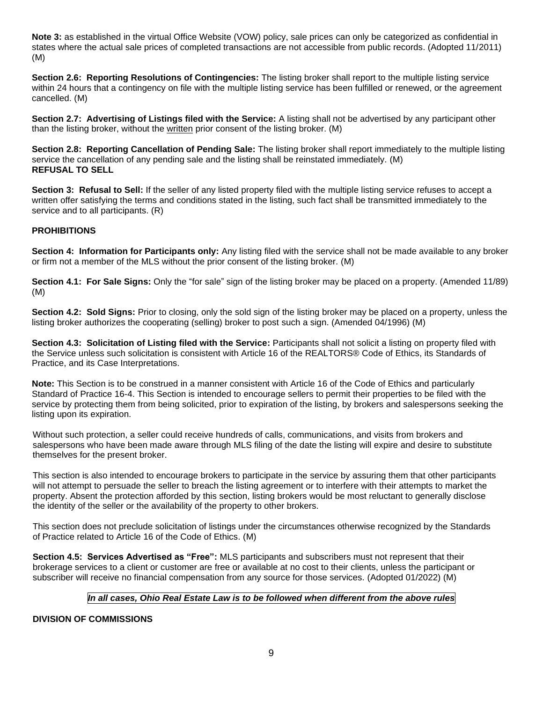**Note 3:** as established in the virtual Office Website (VOW) policy, sale prices can only be categorized as confidential in states where the actual sale prices of completed transactions are not accessible from public records. (Adopted 11/2011) (M)

**Section 2.6: Reporting Resolutions of Contingencies:** The listing broker shall report to the multiple listing service within 24 hours that a contingency on file with the multiple listing service has been fulfilled or renewed, or the agreement cancelled. (M)

**Section 2.7: Advertising of Listings filed with the Service:** A listing shall not be advertised by any participant other than the listing broker, without the written prior consent of the listing broker. (M)

**Section 2.8: Reporting Cancellation of Pending Sale:** The listing broker shall report immediately to the multiple listing service the cancellation of any pending sale and the listing shall be reinstated immediately. (M) **REFUSAL TO SELL**

**Section 3: Refusal to Sell:** If the seller of any listed property filed with the multiple listing service refuses to accept a written offer satisfying the terms and conditions stated in the listing, such fact shall be transmitted immediately to the service and to all participants. (R)

### **PROHIBITIONS**

**Section 4: Information for Participants only:** Any listing filed with the service shall not be made available to any broker or firm not a member of the MLS without the prior consent of the listing broker. (M)

**Section 4.1: For Sale Signs:** Only the "for sale" sign of the listing broker may be placed on a property. (Amended 11/89) (M)

**Section 4.2: Sold Signs:** Prior to closing, only the sold sign of the listing broker may be placed on a property, unless the listing broker authorizes the cooperating (selling) broker to post such a sign. (Amended 04/1996) (M)

**Section 4.3: Solicitation of Listing filed with the Service:** Participants shall not solicit a listing on property filed with the Service unless such solicitation is consistent with Article 16 of the REALTORS® Code of Ethics, its Standards of Practice, and its Case Interpretations.

**Note:** This Section is to be construed in a manner consistent with Article 16 of the Code of Ethics and particularly Standard of Practice 16-4. This Section is intended to encourage sellers to permit their properties to be filed with the service by protecting them from being solicited, prior to expiration of the listing, by brokers and salespersons seeking the listing upon its expiration.

Without such protection, a seller could receive hundreds of calls, communications, and visits from brokers and salespersons who have been made aware through MLS filing of the date the listing will expire and desire to substitute themselves for the present broker.

This section is also intended to encourage brokers to participate in the service by assuring them that other participants will not attempt to persuade the seller to breach the listing agreement or to interfere with their attempts to market the property. Absent the protection afforded by this section, listing brokers would be most reluctant to generally disclose the identity of the seller or the availability of the property to other brokers.

This section does not preclude solicitation of listings under the circumstances otherwise recognized by the Standards of Practice related to Article 16 of the Code of Ethics. (M)

**Section 4.5: Services Advertised as "Free":** MLS participants and subscribers must not represent that their brokerage services to a client or customer are free or available at no cost to their clients, unless the participant or subscriber will receive no financial compensation from any source for those services. (Adopted 01/2022) (M)

### *In all cases, Ohio Real Estate Law is to be followed when different from the above rules*

### **DIVISION OF COMMISSIONS**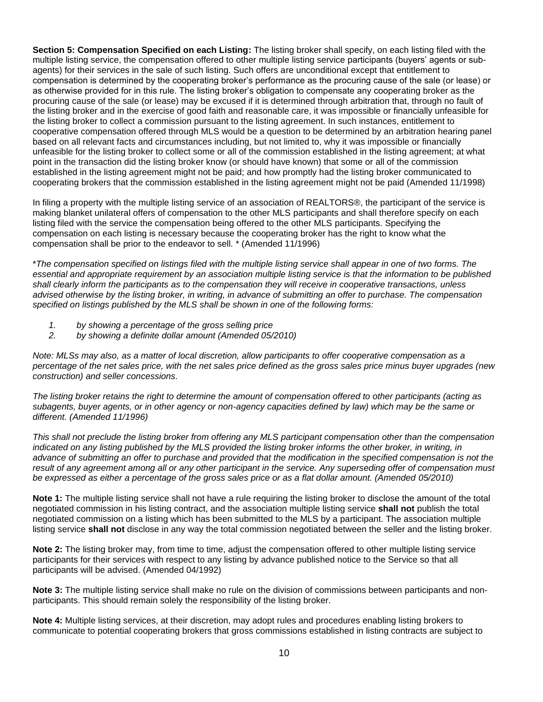**Section 5: Compensation Specified on each Listing:** The listing broker shall specify, on each listing filed with the multiple listing service, the compensation offered to other multiple listing service participants (buyers' agents or subagents) for their services in the sale of such listing. Such offers are unconditional except that entitlement to compensation is determined by the cooperating broker's performance as the procuring cause of the sale (or lease) or as otherwise provided for in this rule. The listing broker's obligation to compensate any cooperating broker as the procuring cause of the sale (or lease) may be excused if it is determined through arbitration that, through no fault of the listing broker and in the exercise of good faith and reasonable care, it was impossible or financially unfeasible for the listing broker to collect a commission pursuant to the listing agreement. In such instances, entitlement to cooperative compensation offered through MLS would be a question to be determined by an arbitration hearing panel based on all relevant facts and circumstances including, but not limited to, why it was impossible or financially unfeasible for the listing broker to collect some or all of the commission established in the listing agreement; at what point in the transaction did the listing broker know (or should have known) that some or all of the commission established in the listing agreement might not be paid; and how promptly had the listing broker communicated to cooperating brokers that the commission established in the listing agreement might not be paid (Amended 11/1998)

In filing a property with the multiple listing service of an association of REALTORS®, the participant of the service is making blanket unilateral offers of compensation to the other MLS participants and shall therefore specify on each listing filed with the service the compensation being offered to the other MLS participants. Specifying the compensation on each listing is necessary because the cooperating broker has the right to know what the compensation shall be prior to the endeavor to sell. \* (Amended 11/1996)

\**The compensation specified on listings filed with the multiple listing service shall appear in one of two forms. The essential and appropriate requirement by an association multiple listing service is that the information to be published shall clearly inform the participants as to the compensation they will receive in cooperative transactions, unless advised otherwise by the listing broker, in writing, in advance of submitting an offer to purchase. The compensation specified on listings published by the MLS shall be shown in one of the following forms:* 

- *1. by showing a percentage of the gross selling price*
- *2. by showing a definite dollar amount (Amended 05/2010)*

*Note: MLSs may also, as a matter of local discretion, allow participants to offer cooperative compensation as a percentage of the net sales price, with the net sales price defined as the gross sales price minus buyer upgrades (new construction) and seller concessions.*

*The listing broker retains the right to determine the amount of compensation offered to other participants (acting as subagents, buyer agents, or in other agency or non-agency capacities defined by law) which may be the same or different. (Amended 11/1996)*

*This shall not preclude the listing broker from offering any MLS participant compensation other than the compensation indicated on any listing published by the MLS provided the listing broker informs the other broker, in writing, in advance of submitting an offer to purchase and provided that the modification in the specified compensation is not the result of any agreement among all or any other participant in the service. Any superseding offer of compensation must be expressed as either a percentage of the gross sales price or as a flat dollar amount. (Amended 05/2010)*

**Note 1:** The multiple listing service shall not have a rule requiring the listing broker to disclose the amount of the total negotiated commission in his listing contract, and the association multiple listing service **shall not** publish the total negotiated commission on a listing which has been submitted to the MLS by a participant. The association multiple listing service **shall not** disclose in any way the total commission negotiated between the seller and the listing broker.

**Note 2:** The listing broker may, from time to time, adjust the compensation offered to other multiple listing service participants for their services with respect to any listing by advance published notice to the Service so that all participants will be advised. (Amended 04/1992)

**Note 3:** The multiple listing service shall make no rule on the division of commissions between participants and nonparticipants. This should remain solely the responsibility of the listing broker.

**Note 4:** Multiple listing services, at their discretion, may adopt rules and procedures enabling listing brokers to communicate to potential cooperating brokers that gross commissions established in listing contracts are subject to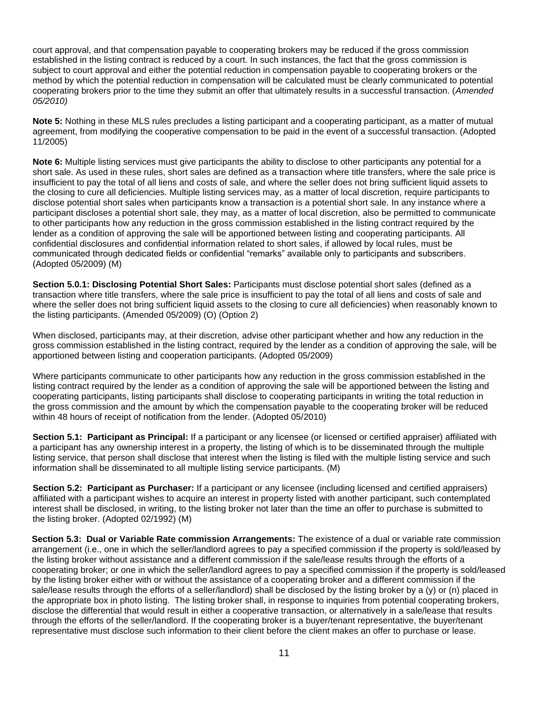court approval, and that compensation payable to cooperating brokers may be reduced if the gross commission established in the listing contract is reduced by a court. In such instances, the fact that the gross commission is subiect to court approval and either the potential reduction in compensation payable to cooperating brokers or the method by which the potential reduction in compensation will be calculated must be clearly communicated to potential cooperating brokers prior to the time they submit an offer that ultimately results in a successful transaction. (*Amended 05/2010)*

**Note 5:** Nothing in these MLS rules precludes a listing participant and a cooperating participant, as a matter of mutual agreement, from modifying the cooperative compensation to be paid in the event of a successful transaction. (Adopted 11/2005)

**Note 6:** Multiple listing services must give participants the ability to disclose to other participants any potential for a short sale. As used in these rules, short sales are defined as a transaction where title transfers, where the sale price is insufficient to pay the total of all liens and costs of sale, and where the seller does not bring sufficient liquid assets to the closing to cure all deficiencies. Multiple listing services may, as a matter of local discretion, require participants to disclose potential short sales when participants know a transaction is a potential short sale. In any instance where a participant discloses a potential short sale, they may, as a matter of local discretion, also be permitted to communicate to other participants how any reduction in the gross commission established in the listing contract required by the lender as a condition of approving the sale will be apportioned between listing and cooperating participants. All confidential disclosures and confidential information related to short sales, if allowed by local rules, must be communicated through dedicated fields or confidential "remarks" available only to participants and subscribers. (Adopted 05/2009) (M)

**Section 5.0.1: Disclosing Potential Short Sales:** Participants must disclose potential short sales (defined as a transaction where title transfers, where the sale price is insufficient to pay the total of all liens and costs of sale and where the seller does not bring sufficient liquid assets to the closing to cure all deficiencies) when reasonably known to the listing participants. (Amended 05/2009) (O) (Option 2)

When disclosed, participants may, at their discretion, advise other participant whether and how any reduction in the gross commission established in the listing contract, required by the lender as a condition of approving the sale, will be apportioned between listing and cooperation participants. (Adopted 05/2009)

Where participants communicate to other participants how any reduction in the gross commission established in the listing contract required by the lender as a condition of approving the sale will be apportioned between the listing and cooperating participants, listing participants shall disclose to cooperating participants in writing the total reduction in the gross commission and the amount by which the compensation payable to the cooperating broker will be reduced within 48 hours of receipt of notification from the lender. (Adopted 05/2010)

**Section 5.1: Participant as Principal:** If a participant or any licensee (or licensed or certified appraiser) affiliated with a participant has any ownership interest in a property, the listing of which is to be disseminated through the multiple listing service, that person shall disclose that interest when the listing is filed with the multiple listing service and such information shall be disseminated to all multiple listing service participants. (M)

**Section 5.2: Participant as Purchaser:** If a participant or any licensee (including licensed and certified appraisers) affiliated with a participant wishes to acquire an interest in property listed with another participant, such contemplated interest shall be disclosed, in writing, to the listing broker not later than the time an offer to purchase is submitted to the listing broker. (Adopted 02/1992) (M)

**Section 5.3: Dual or Variable Rate commission Arrangements:** The existence of a dual or variable rate commission arrangement (i.e., one in which the seller/landlord agrees to pay a specified commission if the property is sold/leased by the listing broker without assistance and a different commission if the sale/lease results through the efforts of a cooperating broker; or one in which the seller/landlord agrees to pay a specified commission if the property is sold/leased by the listing broker either with or without the assistance of a cooperating broker and a different commission if the sale/lease results through the efforts of a seller/landlord) shall be disclosed by the listing broker by a (y) or (n) placed in the appropriate box in photo listing. The listing broker shall, in response to inquiries from potential cooperating brokers, disclose the differential that would result in either a cooperative transaction, or alternatively in a sale/lease that results through the efforts of the seller/landlord. If the cooperating broker is a buyer/tenant representative, the buyer/tenant representative must disclose such information to their client before the client makes an offer to purchase or lease.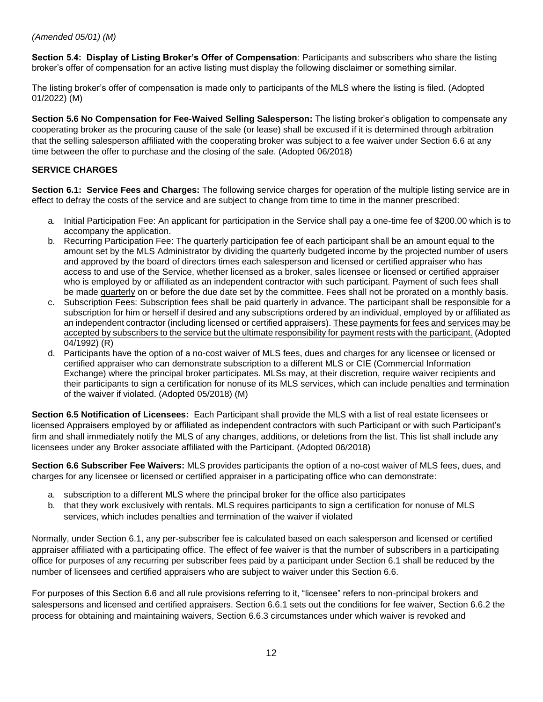# *(Amended 05/01) (M)*

**Section 5.4: Display of Listing Broker's Offer of Compensation**: Participants and subscribers who share the listing broker's offer of compensation for an active listing must display the following disclaimer or something similar.

The listing broker's offer of compensation is made only to participants of the MLS where the listing is filed. (Adopted 01/2022) (M)

**Section 5.6 No Compensation for Fee-Waived Selling Salesperson:** The listing broker's obligation to compensate any cooperating broker as the procuring cause of the sale (or lease) shall be excused if it is determined through arbitration that the selling salesperson affiliated with the cooperating broker was subject to a fee waiver under Section 6.6 at any time between the offer to purchase and the closing of the sale. (Adopted 06/2018)

# **SERVICE CHARGES**

**Section 6.1: Service Fees and Charges:** The following service charges for operation of the multiple listing service are in effect to defray the costs of the service and are subject to change from time to time in the manner prescribed:

- a. Initial Participation Fee: An applicant for participation in the Service shall pay a one-time fee of \$200.00 which is to accompany the application.
- b. Recurring Participation Fee: The quarterly participation fee of each participant shall be an amount equal to the amount set by the MLS Administrator by dividing the quarterly budgeted income by the projected number of users and approved by the board of directors times each salesperson and licensed or certified appraiser who has access to and use of the Service, whether licensed as a broker, sales licensee or licensed or certified appraiser who is employed by or affiliated as an independent contractor with such participant. Payment of such fees shall be made quarterly on or before the due date set by the committee. Fees shall not be prorated on a monthly basis.
- c. Subscription Fees: Subscription fees shall be paid quarterly in advance. The participant shall be responsible for a subscription for him or herself if desired and any subscriptions ordered by an individual, employed by or affiliated as an independent contractor (including licensed or certified appraisers). These payments for fees and services may be accepted by subscribers to the service but the ultimate responsibility for payment rests with the participant. (Adopted 04/1992) (R)
- d. Participants have the option of a no-cost waiver of MLS fees, dues and charges for any licensee or licensed or certified appraiser who can demonstrate subscription to a different MLS or CIE (Commercial Information Exchange) where the principal broker participates. MLSs may, at their discretion, require waiver recipients and their participants to sign a certification for nonuse of its MLS services, which can include penalties and termination of the waiver if violated. (Adopted 05/2018) (M)

**Section 6.5 Notification of Licensees:** Each Participant shall provide the MLS with a list of real estate licensees or licensed Appraisers employed by or affiliated as independent contractors with such Participant or with such Participant's firm and shall immediately notify the MLS of any changes, additions, or deletions from the list. This list shall include any licensees under any Broker associate affiliated with the Participant. (Adopted 06/2018)

**Section 6.6 Subscriber Fee Waivers:** MLS provides participants the option of a no-cost waiver of MLS fees, dues, and charges for any licensee or licensed or certified appraiser in a participating office who can demonstrate:

- a. subscription to a different MLS where the principal broker for the office also participates
- b. that they work exclusively with rentals. MLS requires participants to sign a certification for nonuse of MLS services, which includes penalties and termination of the waiver if violated

Normally, under Section 6.1, any per-subscriber fee is calculated based on each salesperson and licensed or certified appraiser affiliated with a participating office. The effect of fee waiver is that the number of subscribers in a participating office for purposes of any recurring per subscriber fees paid by a participant under Section 6.1 shall be reduced by the number of licensees and certified appraisers who are subject to waiver under this Section 6.6.

For purposes of this Section 6.6 and all rule provisions referring to it, "licensee" refers to non-principal brokers and salespersons and licensed and certified appraisers. Section 6.6.1 sets out the conditions for fee waiver, Section 6.6.2 the process for obtaining and maintaining waivers, Section 6.6.3 circumstances under which waiver is revoked and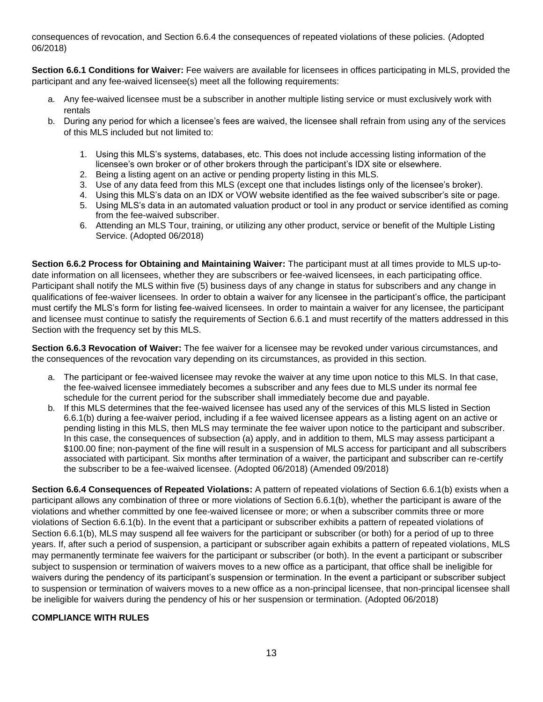consequences of revocation, and Section 6.6.4 the consequences of repeated violations of these policies. (Adopted 06/2018)

**Section 6.6.1 Conditions for Waiver:** Fee waivers are available for licensees in offices participating in MLS, provided the participant and any fee-waived licensee(s) meet all the following requirements:

- a. Any fee-waived licensee must be a subscriber in another multiple listing service or must exclusively work with rentals
- b. During any period for which a licensee's fees are waived, the licensee shall refrain from using any of the services of this MLS included but not limited to:
	- 1. Using this MLS's systems, databases, etc. This does not include accessing listing information of the licensee's own broker or of other brokers through the participant's IDX site or elsewhere.
	- 2. Being a listing agent on an active or pending property listing in this MLS.
	- 3. Use of any data feed from this MLS (except one that includes listings only of the licensee's broker).
	- 4. Using this MLS's data on an IDX or VOW website identified as the fee waived subscriber's site or page.
	- 5. Using MLS's data in an automated valuation product or tool in any product or service identified as coming from the fee-waived subscriber.
	- 6. Attending an MLS Tour, training, or utilizing any other product, service or benefit of the Multiple Listing Service. (Adopted 06/2018)

**Section 6.6.2 Process for Obtaining and Maintaining Waiver:** The participant must at all times provide to MLS up-todate information on all licensees, whether they are subscribers or fee-waived licensees, in each participating office. Participant shall notify the MLS within five (5) business days of any change in status for subscribers and any change in qualifications of fee-waiver licensees. In order to obtain a waiver for any licensee in the participant's office, the participant must certify the MLS's form for listing fee-waived licensees. In order to maintain a waiver for any licensee, the participant and licensee must continue to satisfy the requirements of Section 6.6.1 and must recertify of the matters addressed in this Section with the frequency set by this MLS.

**Section 6.6.3 Revocation of Waiver:** The fee waiver for a licensee may be revoked under various circumstances, and the consequences of the revocation vary depending on its circumstances, as provided in this section.

- a. The participant or fee-waived licensee may revoke the waiver at any time upon notice to this MLS. In that case, the fee-waived licensee immediately becomes a subscriber and any fees due to MLS under its normal fee schedule for the current period for the subscriber shall immediately become due and payable.
- b. If this MLS determines that the fee-waived licensee has used any of the services of this MLS listed in Section 6.6.1(b) during a fee-waiver period, including if a fee waived licensee appears as a listing agent on an active or pending listing in this MLS, then MLS may terminate the fee waiver upon notice to the participant and subscriber. In this case, the consequences of subsection (a) apply, and in addition to them, MLS may assess participant a \$100.00 fine; non-payment of the fine will result in a suspension of MLS access for participant and all subscribers associated with participant. Six months after termination of a waiver, the participant and subscriber can re-certify the subscriber to be a fee-waived licensee. (Adopted 06/2018) (Amended 09/2018)

**Section 6.6.4 Consequences of Repeated Violations:** A pattern of repeated violations of Section 6.6.1(b) exists when a participant allows any combination of three or more violations of Section 6.6.1(b), whether the participant is aware of the violations and whether committed by one fee-waived licensee or more; or when a subscriber commits three or more violations of Section 6.6.1(b). In the event that a participant or subscriber exhibits a pattern of repeated violations of Section 6.6.1(b), MLS may suspend all fee waivers for the participant or subscriber (or both) for a period of up to three years. If, after such a period of suspension, a participant or subscriber again exhibits a pattern of repeated violations, MLS may permanently terminate fee waivers for the participant or subscriber (or both). In the event a participant or subscriber subject to suspension or termination of waivers moves to a new office as a participant, that office shall be ineligible for waivers during the pendency of its participant's suspension or termination. In the event a participant or subscriber subject to suspension or termination of waivers moves to a new office as a non-principal licensee, that non-principal licensee shall be ineligible for waivers during the pendency of his or her suspension or termination. (Adopted 06/2018)

### **COMPLIANCE WITH RULES**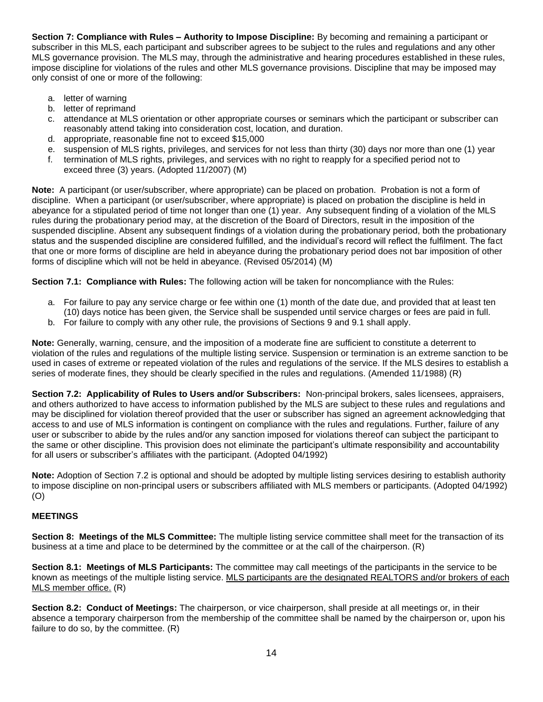**Section 7: Compliance with Rules – Authority to Impose Discipline:** By becoming and remaining a participant or subscriber in this MLS, each participant and subscriber agrees to be subject to the rules and regulations and any other MLS governance provision. The MLS may, through the administrative and hearing procedures established in these rules, impose discipline for violations of the rules and other MLS governance provisions. Discipline that may be imposed may only consist of one or more of the following:

- a. letter of warning
- b. letter of reprimand
- c. attendance at MLS orientation or other appropriate courses or seminars which the participant or subscriber can reasonably attend taking into consideration cost, location, and duration.
- d. appropriate, reasonable fine not to exceed \$15,000
- e. suspension of MLS rights, privileges, and services for not less than thirty (30) days nor more than one (1) year
- f. termination of MLS rights, privileges, and services with no right to reapply for a specified period not to exceed three (3) years. (Adopted 11/2007) (M)

**Note:** A participant (or user/subscriber, where appropriate) can be placed on probation. Probation is not a form of discipline. When a participant (or user/subscriber, where appropriate) is placed on probation the discipline is held in abeyance for a stipulated period of time not longer than one (1) year. Any subsequent finding of a violation of the MLS rules during the probationary period may, at the discretion of the Board of Directors, result in the imposition of the suspended discipline. Absent any subsequent findings of a violation during the probationary period, both the probationary status and the suspended discipline are considered fulfilled, and the individual's record will reflect the fulfilment. The fact that one or more forms of discipline are held in abeyance during the probationary period does not bar imposition of other forms of discipline which will not be held in abeyance. (Revised 05/2014) (M)

**Section 7.1: Compliance with Rules:** The following action will be taken for noncompliance with the Rules:

- a. For failure to pay any service charge or fee within one (1) month of the date due, and provided that at least ten (10) days notice has been given, the Service shall be suspended until service charges or fees are paid in full.
- b. For failure to comply with any other rule, the provisions of Sections 9 and 9.1 shall apply.

**Note:** Generally, warning, censure, and the imposition of a moderate fine are sufficient to constitute a deterrent to violation of the rules and regulations of the multiple listing service. Suspension or termination is an extreme sanction to be used in cases of extreme or repeated violation of the rules and regulations of the service. If the MLS desires to establish a series of moderate fines, they should be clearly specified in the rules and regulations. (Amended 11/1988) (R)

**Section 7.2: Applicability of Rules to Users and/or Subscribers:** Non-principal brokers, sales licensees, appraisers, and others authorized to have access to information published by the MLS are subject to these rules and regulations and may be disciplined for violation thereof provided that the user or subscriber has signed an agreement acknowledging that access to and use of MLS information is contingent on compliance with the rules and regulations. Further, failure of any user or subscriber to abide by the rules and/or any sanction imposed for violations thereof can subject the participant to the same or other discipline. This provision does not eliminate the participant's ultimate responsibility and accountability for all users or subscriber's affiliates with the participant. (Adopted 04/1992)

**Note:** Adoption of Section 7.2 is optional and should be adopted by multiple listing services desiring to establish authority to impose discipline on non-principal users or subscribers affiliated with MLS members or participants. (Adopted 04/1992) (O)

### **MEETINGS**

**Section 8: Meetings of the MLS Committee:** The multiple listing service committee shall meet for the transaction of its business at a time and place to be determined by the committee or at the call of the chairperson. (R)

**Section 8.1: Meetings of MLS Participants:** The committee may call meetings of the participants in the service to be known as meetings of the multiple listing service. MLS participants are the designated REALTORS and/or brokers of each MLS member office. (R)

**Section 8.2: Conduct of Meetings:** The chairperson, or vice chairperson, shall preside at all meetings or, in their absence a temporary chairperson from the membership of the committee shall be named by the chairperson or, upon his failure to do so, by the committee. (R)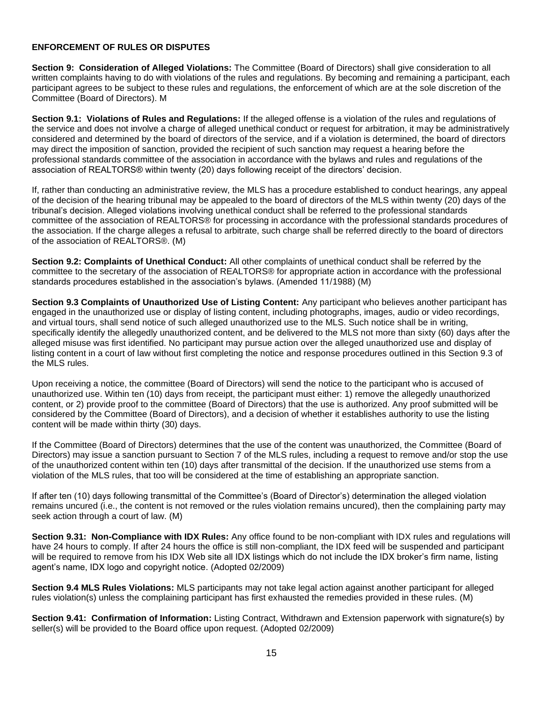#### **ENFORCEMENT OF RULES OR DISPUTES**

**Section 9: Consideration of Alleged Violations:** The Committee (Board of Directors) shall give consideration to all written complaints having to do with violations of the rules and regulations. By becoming and remaining a participant, each participant agrees to be subject to these rules and regulations, the enforcement of which are at the sole discretion of the Committee (Board of Directors). M

**Section 9.1: Violations of Rules and Regulations:** If the alleged offense is a violation of the rules and regulations of the service and does not involve a charge of alleged unethical conduct or request for arbitration, it may be administratively considered and determined by the board of directors of the service, and if a violation is determined, the board of directors may direct the imposition of sanction, provided the recipient of such sanction may request a hearing before the professional standards committee of the association in accordance with the bylaws and rules and regulations of the association of REALTORS® within twenty (20) days following receipt of the directors' decision.

If, rather than conducting an administrative review, the MLS has a procedure established to conduct hearings, any appeal of the decision of the hearing tribunal may be appealed to the board of directors of the MLS within twenty (20) days of the tribunal's decision. Alleged violations involving unethical conduct shall be referred to the professional standards committee of the association of REALTORS® for processing in accordance with the professional standards procedures of the association. If the charge alleges a refusal to arbitrate, such charge shall be referred directly to the board of directors of the association of REALTORS®. (M)

**Section 9.2: Complaints of Unethical Conduct:** All other complaints of unethical conduct shall be referred by the committee to the secretary of the association of REALTORS® for appropriate action in accordance with the professional standards procedures established in the association's bylaws. (Amended 11/1988) (M)

**Section 9.3 Complaints of Unauthorized Use of Listing Content:** Any participant who believes another participant has engaged in the unauthorized use or display of listing content, including photographs, images, audio or video recordings, and virtual tours, shall send notice of such alleged unauthorized use to the MLS. Such notice shall be in writing, specifically identify the allegedly unauthorized content, and be delivered to the MLS not more than sixty (60) days after the alleged misuse was first identified. No participant may pursue action over the alleged unauthorized use and display of listing content in a court of law without first completing the notice and response procedures outlined in this Section 9.3 of the MLS rules.

Upon receiving a notice, the committee (Board of Directors) will send the notice to the participant who is accused of unauthorized use. Within ten (10) days from receipt, the participant must either: 1) remove the allegedly unauthorized content, or 2) provide proof to the committee (Board of Directors) that the use is authorized. Any proof submitted will be considered by the Committee (Board of Directors), and a decision of whether it establishes authority to use the listing content will be made within thirty (30) days.

If the Committee (Board of Directors) determines that the use of the content was unauthorized, the Committee (Board of Directors) may issue a sanction pursuant to Section 7 of the MLS rules, including a request to remove and/or stop the use of the unauthorized content within ten (10) days after transmittal of the decision. If the unauthorized use stems from a violation of the MLS rules, that too will be considered at the time of establishing an appropriate sanction.

If after ten (10) days following transmittal of the Committee's (Board of Director's) determination the alleged violation remains uncured (i.e., the content is not removed or the rules violation remains uncured), then the complaining party may seek action through a court of law. (M)

**Section 9.31: Non-Compliance with IDX Rules:** Any office found to be non-compliant with IDX rules and regulations will have 24 hours to comply. If after 24 hours the office is still non-compliant, the IDX feed will be suspended and participant will be required to remove from his IDX Web site all IDX listings which do not include the IDX broker's firm name, listing agent's name, IDX logo and copyright notice. (Adopted 02/2009)

**Section 9.4 MLS Rules Violations:** MLS participants may not take legal action against another participant for alleged rules violation(s) unless the complaining participant has first exhausted the remedies provided in these rules. (M)

**Section 9.41: Confirmation of Information:** Listing Contract, Withdrawn and Extension paperwork with signature(s) by seller(s) will be provided to the Board office upon request. (Adopted 02/2009)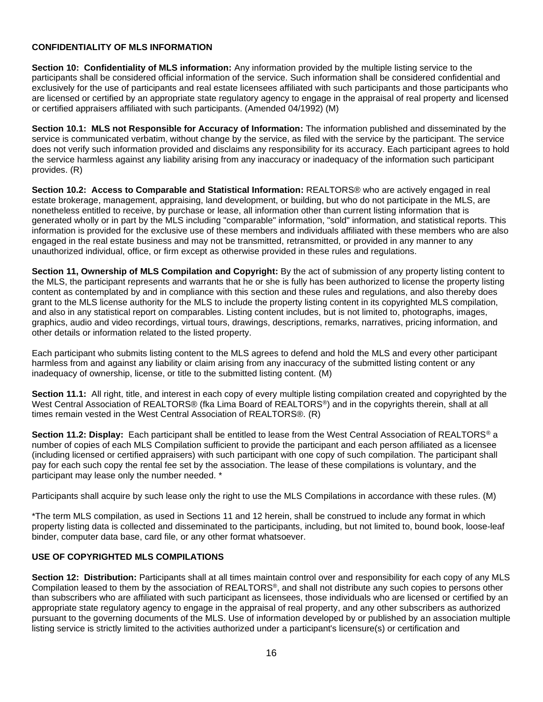### **CONFIDENTIALITY OF MLS INFORMATION**

**Section 10: Confidentiality of MLS information:** Any information provided by the multiple listing service to the participants shall be considered official information of the service. Such information shall be considered confidential and exclusively for the use of participants and real estate licensees affiliated with such participants and those participants who are licensed or certified by an appropriate state regulatory agency to engage in the appraisal of real property and licensed or certified appraisers affiliated with such participants. (Amended 04/1992) (M)

**Section 10.1: MLS not Responsible for Accuracy of Information:** The information published and disseminated by the service is communicated verbatim, without change by the service, as filed with the service by the participant. The service does not verify such information provided and disclaims any responsibility for its accuracy. Each participant agrees to hold the service harmless against any liability arising from any inaccuracy or inadequacy of the information such participant provides. (R)

**Section 10.2: Access to Comparable and Statistical Information:** REALTORS® who are actively engaged in real estate brokerage, management, appraising, land development, or building, but who do not participate in the MLS, are nonetheless entitled to receive, by purchase or lease, all information other than current listing information that is generated wholly or in part by the MLS including "comparable" information, "sold" information, and statistical reports. This information is provided for the exclusive use of these members and individuals affiliated with these members who are also engaged in the real estate business and may not be transmitted, retransmitted, or provided in any manner to any unauthorized individual, office, or firm except as otherwise provided in these rules and regulations.

**Section 11, Ownership of MLS Compilation and Copyright:** By the act of submission of any property listing content to the MLS, the participant represents and warrants that he or she is fully has been authorized to license the property listing content as contemplated by and in compliance with this section and these rules and regulations, and also thereby does grant to the MLS license authority for the MLS to include the property listing content in its copyrighted MLS compilation, and also in any statistical report on comparables. Listing content includes, but is not limited to, photographs, images, graphics, audio and video recordings, virtual tours, drawings, descriptions, remarks, narratives, pricing information, and other details or information related to the listed property.

Each participant who submits listing content to the MLS agrees to defend and hold the MLS and every other participant harmless from and against any liability or claim arising from any inaccuracy of the submitted listing content or any inadequacy of ownership, license, or title to the submitted listing content. (M)

**Section 11.1:** All right, title, and interest in each copy of every multiple listing compilation created and copyrighted by the West Central Association of REALTORS® (fka Lima Board of REALTORS<sup>®</sup>) and in the copyrights therein, shall at all times remain vested in the West Central Association of REALTORS®. (R)

**Section 11.2: Display:** Each participant shall be entitled to lease from the West Central Association of REALTORS® a number of copies of each MLS Compilation sufficient to provide the participant and each person affiliated as a licensee (including licensed or certified appraisers) with such participant with one copy of such compilation. The participant shall pay for each such copy the rental fee set by the association. The lease of these compilations is voluntary, and the participant may lease only the number needed. \*

Participants shall acquire by such lease only the right to use the MLS Compilations in accordance with these rules. (M)

\*The term MLS compilation, as used in Sections 11 and 12 herein, shall be construed to include any format in which property listing data is collected and disseminated to the participants, including, but not limited to, bound book, loose-leaf binder, computer data base, card file, or any other format whatsoever.

### **USE OF COPYRIGHTED MLS COMPILATIONS**

**Section 12: Distribution:** Participants shall at all times maintain control over and responsibility for each copy of any MLS Compilation leased to them by the association of REALTORS®, and shall not distribute any such copies to persons other than subscribers who are affiliated with such participant as licensees, those individuals who are licensed or certified by an appropriate state regulatory agency to engage in the appraisal of real property, and any other subscribers as authorized pursuant to the governing documents of the MLS. Use of information developed by or published by an association multiple listing service is strictly limited to the activities authorized under a participant's licensure(s) or certification and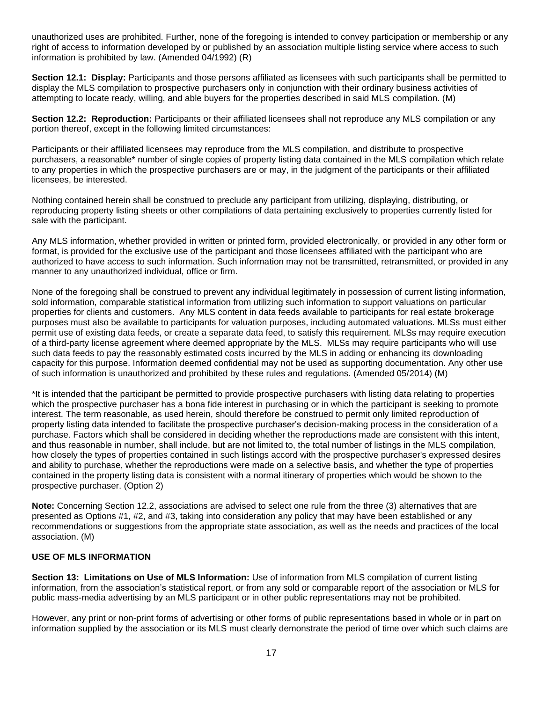unauthorized uses are prohibited. Further, none of the foregoing is intended to convey participation or membership or any right of access to information developed by or published by an association multiple listing service where access to such information is prohibited by law. (Amended 04/1992) (R)

**Section 12.1: Display:** Participants and those persons affiliated as licensees with such participants shall be permitted to display the MLS compilation to prospective purchasers only in conjunction with their ordinary business activities of attempting to locate ready, willing, and able buyers for the properties described in said MLS compilation. (M)

**Section 12.2: Reproduction:** Participants or their affiliated licensees shall not reproduce any MLS compilation or any portion thereof, except in the following limited circumstances:

Participants or their affiliated licensees may reproduce from the MLS compilation, and distribute to prospective purchasers, a reasonable\* number of single copies of property listing data contained in the MLS compilation which relate to any properties in which the prospective purchasers are or may, in the judgment of the participants or their affiliated licensees, be interested.

Nothing contained herein shall be construed to preclude any participant from utilizing, displaying, distributing, or reproducing property listing sheets or other compilations of data pertaining exclusively to properties currently listed for sale with the participant.

Any MLS information, whether provided in written or printed form, provided electronically, or provided in any other form or format, is provided for the exclusive use of the participant and those licensees affiliated with the participant who are authorized to have access to such information. Such information may not be transmitted, retransmitted, or provided in any manner to any unauthorized individual, office or firm.

None of the foregoing shall be construed to prevent any individual legitimately in possession of current listing information, sold information, comparable statistical information from utilizing such information to support valuations on particular properties for clients and customers. Any MLS content in data feeds available to participants for real estate brokerage purposes must also be available to participants for valuation purposes, including automated valuations. MLSs must either permit use of existing data feeds, or create a separate data feed, to satisfy this requirement. MLSs may require execution of a third-party license agreement where deemed appropriate by the MLS. MLSs may require participants who will use such data feeds to pay the reasonably estimated costs incurred by the MLS in adding or enhancing its downloading capacity for this purpose. Information deemed confidential may not be used as supporting documentation. Any other use of such information is unauthorized and prohibited by these rules and regulations. (Amended 05/2014) (M)

\*It is intended that the participant be permitted to provide prospective purchasers with listing data relating to properties which the prospective purchaser has a bona fide interest in purchasing or in which the participant is seeking to promote interest. The term reasonable, as used herein, should therefore be construed to permit only limited reproduction of property listing data intended to facilitate the prospective purchaser's decision-making process in the consideration of a purchase. Factors which shall be considered in deciding whether the reproductions made are consistent with this intent, and thus reasonable in number, shall include, but are not limited to, the total number of listings in the MLS compilation, how closely the types of properties contained in such listings accord with the prospective purchaser's expressed desires and ability to purchase, whether the reproductions were made on a selective basis, and whether the type of properties contained in the property listing data is consistent with a normal itinerary of properties which would be shown to the prospective purchaser. (Option 2)

**Note:** Concerning Section 12.2, associations are advised to select one rule from the three (3) alternatives that are presented as Options #1, #2, and #3, taking into consideration any policy that may have been established or any recommendations or suggestions from the appropriate state association, as well as the needs and practices of the local association. (M)

### **USE OF MLS INFORMATION**

**Section 13: Limitations on Use of MLS Information:** Use of information from MLS compilation of current listing information, from the association's statistical report, or from any sold or comparable report of the association or MLS for public mass-media advertising by an MLS participant or in other public representations may not be prohibited.

However, any print or non-print forms of advertising or other forms of public representations based in whole or in part on information supplied by the association or its MLS must clearly demonstrate the period of time over which such claims are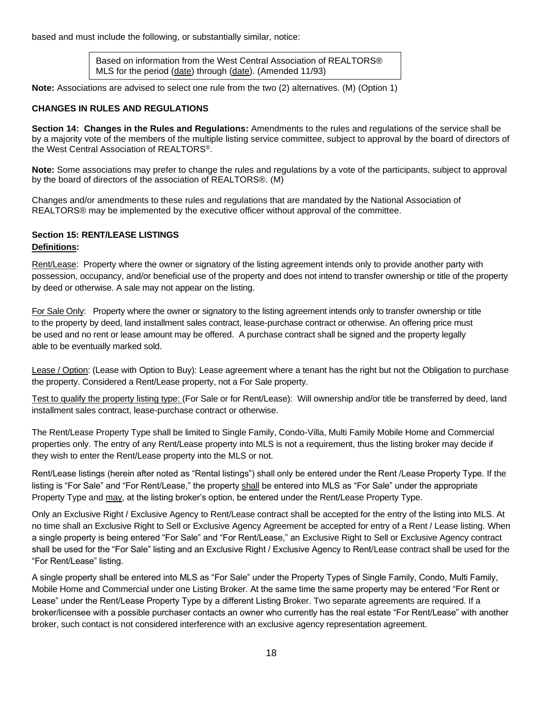based and must include the following, or substantially similar, notice:

Based on information from the West Central Association of REALTORS® MLS for the period (date) through (date). (Amended 11/93)

**Note:** Associations are advised to select one rule from the two (2) alternatives. (M) (Option 1)

### **CHANGES IN RULES AND REGULATIONS**

**Section 14: Changes in the Rules and Regulations:** Amendments to the rules and regulations of the service shall be by a majority vote of the members of the multiple listing service committee, subject to approval by the board of directors of the West Central Association of REALTORS®.

**Note:** Some associations may prefer to change the rules and regulations by a vote of the participants, subject to approval by the board of directors of the association of REALTORS®. (M)

Changes and/or amendments to these rules and regulations that are mandated by the National Association of REALTORS® may be implemented by the executive officer without approval of the committee.

### **Section 15: RENT/LEASE LISTINGS**

#### **Definitions:**

Rent/Lease: Property where the owner or signatory of the listing agreement intends only to provide another party with possession, occupancy, and/or beneficial use of the property and does not intend to transfer ownership or title of the property by deed or otherwise. A sale may not appear on the listing.

For Sale Only: Property where the owner or signatory to the listing agreement intends only to transfer ownership or title to the property by deed, land installment sales contract, lease-purchase contract or otherwise. An offering price must be used and no rent or lease amount may be offered. A purchase contract shall be signed and the property legally able to be eventually marked sold.

Lease / Option: (Lease with Option to Buy): Lease agreement where a tenant has the right but not the Obligation to purchase the property. Considered a Rent/Lease property, not a For Sale property.

Test to qualify the property listing type: (For Sale or for Rent/Lease): Will ownership and/or title be transferred by deed, land installment sales contract, lease-purchase contract or otherwise.

The Rent/Lease Property Type shall be limited to Single Family, Condo-Villa, Multi Family Mobile Home and Commercial properties only. The entry of any Rent/Lease property into MLS is not a requirement, thus the listing broker may decide if they wish to enter the Rent/Lease property into the MLS or not.

Rent/Lease listings (herein after noted as "Rental listings") shall only be entered under the Rent /Lease Property Type. If the listing is "For Sale" and "For Rent/Lease," the property shall be entered into MLS as "For Sale" under the appropriate Property Type and may, at the listing broker's option, be entered under the Rent/Lease Property Type.

Only an Exclusive Right / Exclusive Agency to Rent/Lease contract shall be accepted for the entry of the listing into MLS. At no time shall an Exclusive Right to Sell or Exclusive Agency Agreement be accepted for entry of a Rent / Lease listing. When a single property is being entered "For Sale" and "For Rent/Lease," an Exclusive Right to Sell or Exclusive Agency contract shall be used for the "For Sale" listing and an Exclusive Right / Exclusive Agency to Rent/Lease contract shall be used for the "For Rent/Lease" listing.

A single property shall be entered into MLS as "For Sale" under the Property Types of Single Family, Condo, Multi Family, Mobile Home and Commercial under one Listing Broker. At the same time the same property may be entered "For Rent or Lease" under the Rent/Lease Property Type by a different Listing Broker. Two separate agreements are required. If a broker/licensee with a possible purchaser contacts an owner who currently has the real estate "For Rent/Lease" with another broker, such contact is not considered interference with an exclusive agency representation agreement.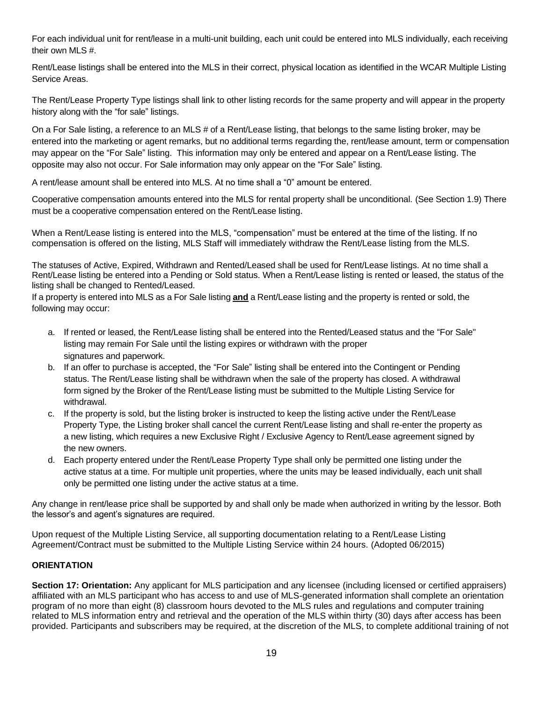For each individual unit for rent/lease in a multi-unit building, each unit could be entered into MLS individually, each receiving their own MLS #.

Rent/Lease listings shall be entered into the MLS in their correct, physical location as identified in the WCAR Multiple Listing Service Areas.

The Rent/Lease Property Type listings shall link to other listing records for the same property and will appear in the property history along with the "for sale" listings.

On a For Sale listing, a reference to an MLS # of a Rent/Lease listing, that belongs to the same listing broker, may be entered into the marketing or agent remarks, but no additional terms regarding the, rent/lease amount, term or compensation may appear on the "For Sale" listing. This information may only be entered and appear on a Rent/Lease listing. The opposite may also not occur. For Sale information may only appear on the "For Sale" listing.

A rent/lease amount shall be entered into MLS. At no time shall a "0" amount be entered.

Cooperative compensation amounts entered into the MLS for rental property shall be unconditional. (See Section 1.9) There must be a cooperative compensation entered on the Rent/Lease listing.

When a Rent/Lease listing is entered into the MLS, "compensation" must be entered at the time of the listing. If no compensation is offered on the listing, MLS Staff will immediately withdraw the Rent/Lease listing from the MLS.

The statuses of Active, Expired, Withdrawn and Rented/Leased shall be used for Rent/Lease listings. At no time shall a Rent/Lease listing be entered into a Pending or Sold status. When a Rent/Lease listing is rented or leased, the status of the listing shall be changed to Rented/Leased.

If a property is entered into MLS as a For Sale listing **and** a Rent/Lease listing and the property is rented or sold, the following may occur:

- a. If rented or leased, the Rent/Lease listing shall be entered into the Rented/Leased status and the "For Sale" listing may remain For Sale until the listing expires or withdrawn with the proper signatures and paperwork.
- b. If an offer to purchase is accepted, the "For Sale" listing shall be entered into the Contingent or Pending status. The Rent/Lease listing shall be withdrawn when the sale of the property has closed. A withdrawal form signed by the Broker of the Rent/Lease listing must be submitted to the Multiple Listing Service for withdrawal.
- c. If the property is sold, but the listing broker is instructed to keep the listing active under the Rent/Lease Property Type, the Listing broker shall cancel the current Rent/Lease listing and shall re-enter the property as a new listing, which requires a new Exclusive Right / Exclusive Agency to Rent/Lease agreement signed by the new owners.
- d. Each property entered under the Rent/Lease Property Type shall only be permitted one listing under the active status at a time. For multiple unit properties, where the units may be leased individually, each unit shall only be permitted one listing under the active status at a time.

Any change in rent/lease price shall be supported by and shall only be made when authorized in writing by the lessor. Both the lessor's and agent's signatures are required.

Upon request of the Multiple Listing Service, all supporting documentation relating to a Rent/Lease Listing Agreement/Contract must be submitted to the Multiple Listing Service within 24 hours. (Adopted 06/2015)

# **ORIENTATION**

**Section 17: Orientation:** Any applicant for MLS participation and any licensee (including licensed or certified appraisers) affiliated with an MLS participant who has access to and use of MLS-generated information shall complete an orientation program of no more than eight (8) classroom hours devoted to the MLS rules and regulations and computer training related to MLS information entry and retrieval and the operation of the MLS within thirty (30) days after access has been provided. Participants and subscribers may be required, at the discretion of the MLS, to complete additional training of not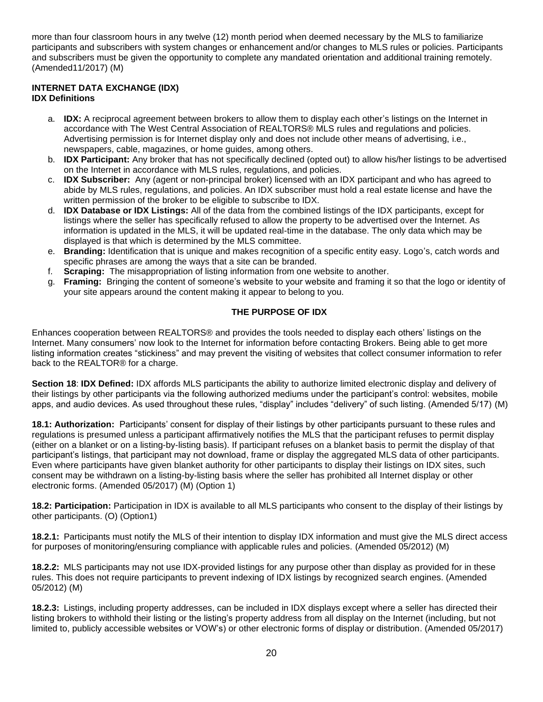more than four classroom hours in any twelve (12) month period when deemed necessary by the MLS to familiarize participants and subscribers with system changes or enhancement and/or changes to MLS rules or policies. Participants and subscribers must be given the opportunity to complete any mandated orientation and additional training remotely. (Amended11/2017) (M)

# **INTERNET DATA EXCHANGE (IDX)**

### **IDX Definitions**

- a. **IDX:** A reciprocal agreement between brokers to allow them to display each other's listings on the Internet in accordance with The West Central Association of REALTORS® MLS rules and regulations and policies. Advertising permission is for Internet display only and does not include other means of advertising, i.e., newspapers, cable, magazines, or home guides, among others.
- b. **IDX Participant:** Any broker that has not specifically declined (opted out) to allow his/her listings to be advertised on the Internet in accordance with MLS rules, regulations, and policies.
- c. **IDX Subscriber:** Any (agent or non-principal broker) licensed with an IDX participant and who has agreed to abide by MLS rules, regulations, and policies. An IDX subscriber must hold a real estate license and have the written permission of the broker to be eligible to subscribe to IDX.
- d. **IDX Database or IDX Listings:** All of the data from the combined listings of the IDX participants, except for listings where the seller has specifically refused to allow the property to be advertised over the Internet. As information is updated in the MLS, it will be updated real-time in the database. The only data which may be displayed is that which is determined by the MLS committee.
- e. **Branding:** Identification that is unique and makes recognition of a specific entity easy. Logo's, catch words and specific phrases are among the ways that a site can be branded.
- f. **Scraping:** The misappropriation of listing information from one website to another.
- g. **Framing:** Bringing the content of someone's website to your website and framing it so that the logo or identity of your site appears around the content making it appear to belong to you.

# **THE PURPOSE OF IDX**

Enhances cooperation between REALTORS® and provides the tools needed to display each others' listings on the Internet. Many consumers' now look to the Internet for information before contacting Brokers. Being able to get more listing information creates "stickiness" and may prevent the visiting of websites that collect consumer information to refer back to the REALTOR® for a charge.

**Section 18**: **IDX Defined:** IDX affords MLS participants the ability to authorize limited electronic display and delivery of their listings by other participants via the following authorized mediums under the participant's control: websites, mobile apps, and audio devices. As used throughout these rules, "display" includes "delivery" of such listing. (Amended 5/17) (M)

**18.1: Authorization:** Participants' consent for display of their listings by other participants pursuant to these rules and regulations is presumed unless a participant affirmatively notifies the MLS that the participant refuses to permit display (either on a blanket or on a listing-by-listing basis). If participant refuses on a blanket basis to permit the display of that participant's listings, that participant may not download, frame or display the aggregated MLS data of other participants. Even where participants have given blanket authority for other participants to display their listings on IDX sites, such consent may be withdrawn on a listing-by-listing basis where the seller has prohibited all Internet display or other electronic forms. (Amended 05/2017) (M) (Option 1)

**18.2: Participation:** Participation in IDX is available to all MLS participants who consent to the display of their listings by other participants. (O) (Option1)

**18.2.1:** Participants must notify the MLS of their intention to display IDX information and must give the MLS direct access for purposes of monitoring/ensuring compliance with applicable rules and policies. (Amended 05/2012) (M)

**18.2.2:** MLS participants may not use IDX-provided listings for any purpose other than display as provided for in these rules. This does not require participants to prevent indexing of IDX listings by recognized search engines. (Amended 05/2012) (M)

**18.2.3:** Listings, including property addresses, can be included in IDX displays except where a seller has directed their listing brokers to withhold their listing or the listing's property address from all display on the Internet (including, but not limited to, publicly accessible websites or VOW's) or other electronic forms of display or distribution. (Amended 05/2017)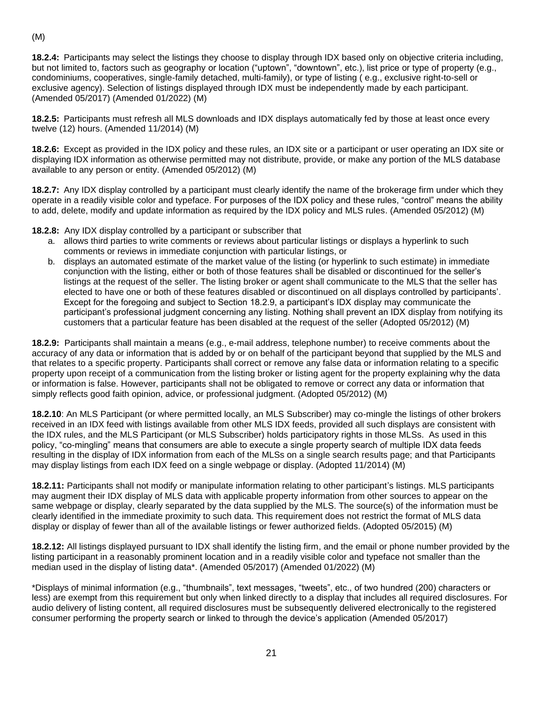(M)

**18.2.4:** Participants may select the listings they choose to display through IDX based only on objective criteria including, but not limited to, factors such as geography or location ("uptown", "downtown", etc.), list price or type of property (e.g., condominiums, cooperatives, single-family detached, multi-family), or type of listing ( e.g., exclusive right-to-sell or exclusive agency). Selection of listings displayed through IDX must be independently made by each participant. (Amended 05/2017) (Amended 01/2022) (M)

**18.2.5:** Participants must refresh all MLS downloads and IDX displays automatically fed by those at least once every twelve (12) hours. (Amended 11/2014) (M)

**18.2.6:** Except as provided in the IDX policy and these rules, an IDX site or a participant or user operating an IDX site or displaying IDX information as otherwise permitted may not distribute, provide, or make any portion of the MLS database available to any person or entity. (Amended 05/2012) (M)

**18.2.7:** Any IDX display controlled by a participant must clearly identify the name of the brokerage firm under which they operate in a readily visible color and typeface. For purposes of the IDX policy and these rules, "control" means the ability to add, delete, modify and update information as required by the IDX policy and MLS rules. (Amended 05/2012) (M)

**18.2.8:** Any IDX display controlled by a participant or subscriber that

- a. allows third parties to write comments or reviews about particular listings or displays a hyperlink to such comments or reviews in immediate conjunction with particular listings, or
- b. displays an automated estimate of the market value of the listing (or hyperlink to such estimate) in immediate conjunction with the listing, either or both of those features shall be disabled or discontinued for the seller's listings at the request of the seller. The listing broker or agent shall communicate to the MLS that the seller has elected to have one or both of these features disabled or discontinued on all displays controlled by participants'. Except for the foregoing and subject to Section 18.2.9, a participant's IDX display may communicate the participant's professional judgment concerning any listing. Nothing shall prevent an IDX display from notifying its customers that a particular feature has been disabled at the request of the seller (Adopted 05/2012) (M)

**18.2.9:** Participants shall maintain a means (e.g., e-mail address, telephone number) to receive comments about the accuracy of any data or information that is added by or on behalf of the participant beyond that supplied by the MLS and that relates to a specific property. Participants shall correct or remove any false data or information relating to a specific property upon receipt of a communication from the listing broker or listing agent for the property explaining why the data or information is false. However, participants shall not be obligated to remove or correct any data or information that simply reflects good faith opinion, advice, or professional judgment. (Adopted 05/2012) (M)

**18.2.10**: An MLS Participant (or where permitted locally, an MLS Subscriber) may co-mingle the listings of other brokers received in an IDX feed with listings available from other MLS IDX feeds, provided all such displays are consistent with the IDX rules, and the MLS Participant (or MLS Subscriber) holds participatory rights in those MLSs. As used in this policy, "co-mingling" means that consumers are able to execute a single property search of multiple IDX data feeds resulting in the display of IDX information from each of the MLSs on a single search results page; and that Participants may display listings from each IDX feed on a single webpage or display. (Adopted 11/2014) (M)

**18.2.11:** Participants shall not modify or manipulate information relating to other participant's listings. MLS participants may augment their IDX display of MLS data with applicable property information from other sources to appear on the same webpage or display, clearly separated by the data supplied by the MLS. The source(s) of the information must be clearly identified in the immediate proximity to such data. This requirement does not restrict the format of MLS data display or display of fewer than all of the available listings or fewer authorized fields. (Adopted 05/2015) (M)

**18.2.12:** All listings displayed pursuant to IDX shall identify the listing firm, and the email or phone number provided by the listing participant in a reasonably prominent location and in a readily visible color and typeface not smaller than the median used in the display of listing data\*. (Amended 05/2017) (Amended 01/2022) (M)

\*Displays of minimal information (e.g., "thumbnails", text messages, "tweets", etc., of two hundred (200) characters or less) are exempt from this requirement but only when linked directly to a display that includes all required disclosures. For audio delivery of listing content, all required disclosures must be subsequently delivered electronically to the registered consumer performing the property search or linked to through the device's application (Amended 05/2017)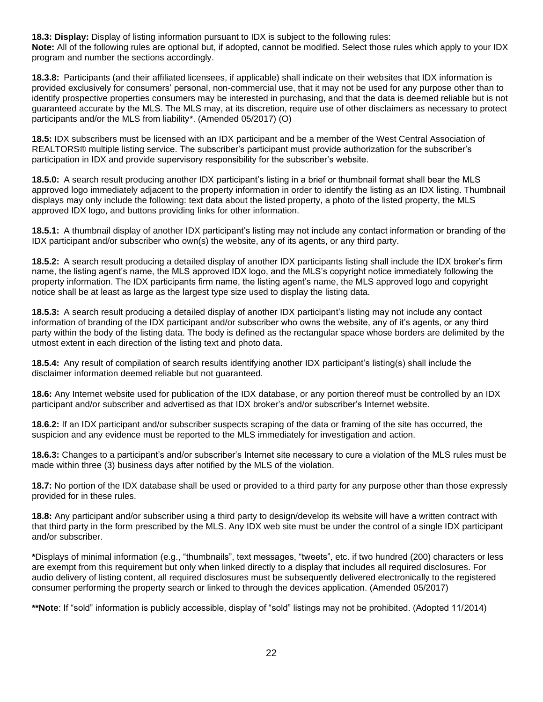**18.3: Display:** Display of listing information pursuant to IDX is subject to the following rules: **Note:** All of the following rules are optional but, if adopted, cannot be modified. Select those rules which apply to your IDX program and number the sections accordingly.

**18.3.8:** Participants (and their affiliated licensees, if applicable) shall indicate on their websites that IDX information is provided exclusively for consumers' personal, non-commercial use, that it may not be used for any purpose other than to identify prospective properties consumers may be interested in purchasing, and that the data is deemed reliable but is not guaranteed accurate by the MLS. The MLS may, at its discretion, require use of other disclaimers as necessary to protect participants and/or the MLS from liability\*. (Amended 05/2017) (O)

**18.5:** IDX subscribers must be licensed with an IDX participant and be a member of the West Central Association of REALTORS® multiple listing service. The subscriber's participant must provide authorization for the subscriber's participation in IDX and provide supervisory responsibility for the subscriber's website.

**18.5.0:** A search result producing another IDX participant's listing in a brief or thumbnail format shall bear the MLS approved logo immediately adjacent to the property information in order to identify the listing as an IDX listing. Thumbnail displays may only include the following: text data about the listed property, a photo of the listed property, the MLS approved IDX logo, and buttons providing links for other information.

**18.5.1:** A thumbnail display of another IDX participant's listing may not include any contact information or branding of the IDX participant and/or subscriber who own(s) the website, any of its agents, or any third party.

**18.5.2:** A search result producing a detailed display of another IDX participants listing shall include the IDX broker's firm name, the listing agent's name, the MLS approved IDX logo, and the MLS's copyright notice immediately following the property information. The IDX participants firm name, the listing agent's name, the MLS approved logo and copyright notice shall be at least as large as the largest type size used to display the listing data.

**18.5.3:** A search result producing a detailed display of another IDX participant's listing may not include any contact information of branding of the IDX participant and/or subscriber who owns the website, any of it's agents, or any third party within the body of the listing data. The body is defined as the rectangular space whose borders are delimited by the utmost extent in each direction of the listing text and photo data.

**18.5.4:** Any result of compilation of search results identifying another IDX participant's listing(s) shall include the disclaimer information deemed reliable but not guaranteed.

**18.6:** Any Internet website used for publication of the IDX database, or any portion thereof must be controlled by an IDX participant and/or subscriber and advertised as that IDX broker's and/or subscriber's Internet website.

**18.6.2:** If an IDX participant and/or subscriber suspects scraping of the data or framing of the site has occurred, the suspicion and any evidence must be reported to the MLS immediately for investigation and action.

**18.6.3:** Changes to a participant's and/or subscriber's Internet site necessary to cure a violation of the MLS rules must be made within three (3) business days after notified by the MLS of the violation.

**18.7:** No portion of the IDX database shall be used or provided to a third party for any purpose other than those expressly provided for in these rules.

**18.8:** Any participant and/or subscriber using a third party to design/develop its website will have a written contract with that third party in the form prescribed by the MLS. Any IDX web site must be under the control of a single IDX participant and/or subscriber.

**\***Displays of minimal information (e.g., "thumbnails", text messages, "tweets", etc. if two hundred (200) characters or less are exempt from this requirement but only when linked directly to a display that includes all required disclosures. For audio delivery of listing content, all required disclosures must be subsequently delivered electronically to the registered consumer performing the property search or linked to through the devices application. (Amended 05/2017)

**\*\*Note**: If "sold" information is publicly accessible, display of "sold" listings may not be prohibited. (Adopted 11/2014)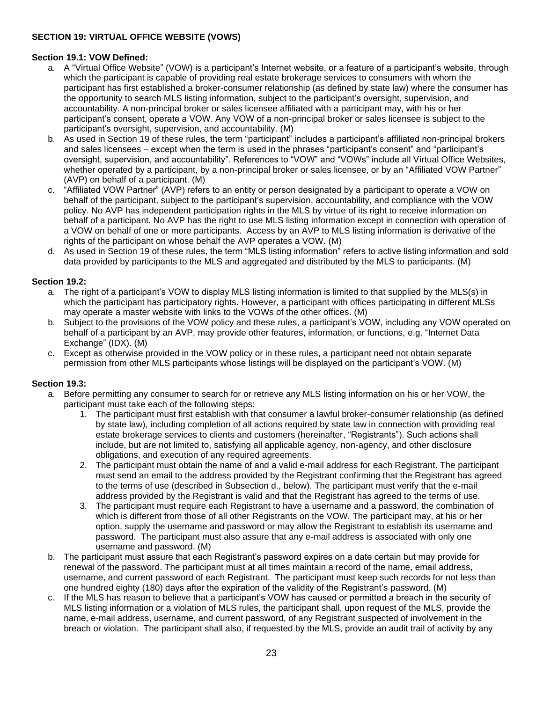# **SECTION 19: VIRTUAL OFFICE WEBSITE (VOWS)**

#### **Section 19.1: VOW Defined:**

- a. A "Virtual Office Website" (VOW) is a participant's Internet website, or a feature of a participant's website, through which the participant is capable of providing real estate brokerage services to consumers with whom the participant has first established a broker-consumer relationship (as defined by state law) where the consumer has the opportunity to search MLS listing information, subject to the participant's oversight, supervision, and accountability. A non-principal broker or sales licensee affiliated with a participant may, with his or her participant's consent, operate a VOW. Any VOW of a non-principal broker or sales licensee is subject to the participant's oversight, supervision, and accountability. (M)
- b. As used in Section 19 of these rules, the term "participant" includes a participant's affiliated non-principal brokers and sales licensees – except when the term is used in the phrases "participant's consent" and "participant's oversight, supervision, and accountability". References to "VOW" and "VOWs" include all Virtual Office Websites, whether operated by a participant, by a non-principal broker or sales licensee, or by an "Affiliated VOW Partner" (AVP) on behalf of a participant. (M)
- c. "Affiliated VOW Partner" (AVP) refers to an entity or person designated by a participant to operate a VOW on behalf of the participant, subject to the participant's supervision, accountability, and compliance with the VOW policy. No AVP has independent participation rights in the MLS by virtue of its right to receive information on behalf of a participant. No AVP has the right to use MLS listing information except in connection with operation of a VOW on behalf of one or more participants. Access by an AVP to MLS listing information is derivative of the rights of the participant on whose behalf the AVP operates a VOW. (M)
- d. As used in Section 19 of these rules, the term "MLS listing information" refers to active listing information and sold data provided by participants to the MLS and aggregated and distributed by the MLS to participants. (M)

#### **Section 19.2:**

- a. The right of a participant's VOW to display MLS listing information is limited to that supplied by the MLS(s) in which the participant has participatory rights. However, a participant with offices participating in different MLSs may operate a master website with links to the VOWs of the other offices. (M)
- b. Subject to the provisions of the VOW policy and these rules, a participant's VOW, including any VOW operated on behalf of a participant by an AVP, may provide other features, information, or functions, e.g. "Internet Data Exchange" (IDX). (M)
- c. Except as otherwise provided in the VOW policy or in these rules, a participant need not obtain separate permission from other MLS participants whose listings will be displayed on the participant's VOW. (M)

#### **Section 19.3:**

- a. Before permitting any consumer to search for or retrieve any MLS listing information on his or her VOW, the participant must take each of the following steps:
	- 1. The participant must first establish with that consumer a lawful broker-consumer relationship (as defined by state law), including completion of all actions required by state law in connection with providing real estate brokerage services to clients and customers (hereinafter, "Registrants"). Such actions shall include, but are not limited to, satisfying all applicable agency, non-agency, and other disclosure obligations, and execution of any required agreements.
	- 2. The participant must obtain the name of and a valid e-mail address for each Registrant. The participant must send an email to the address provided by the Registrant confirming that the Registrant has agreed to the terms of use (described in Subsection d., below). The participant must verify that the e-mail address provided by the Registrant is valid and that the Registrant has agreed to the terms of use.
	- 3. The participant must require each Registrant to have a username and a password, the combination of which is different from those of all other Registrants on the VOW. The participant may, at his or her option, supply the username and password or may allow the Registrant to establish its username and password. The participant must also assure that any e-mail address is associated with only one username and password. (M)
- b. The participant must assure that each Registrant's password expires on a date certain but may provide for renewal of the password. The participant must at all times maintain a record of the name, email address, username, and current password of each Registrant. The participant must keep such records for not less than one hundred eighty (180) days after the expiration of the validity of the Registrant's password. (M)
- c. If the MLS has reason to believe that a participant's VOW has caused or permitted a breach in the security of MLS listing information or a violation of MLS rules, the participant shall, upon request of the MLS, provide the name, e-mail address, username, and current password, of any Registrant suspected of involvement in the breach or violation. The participant shall also, if requested by the MLS, provide an audit trail of activity by any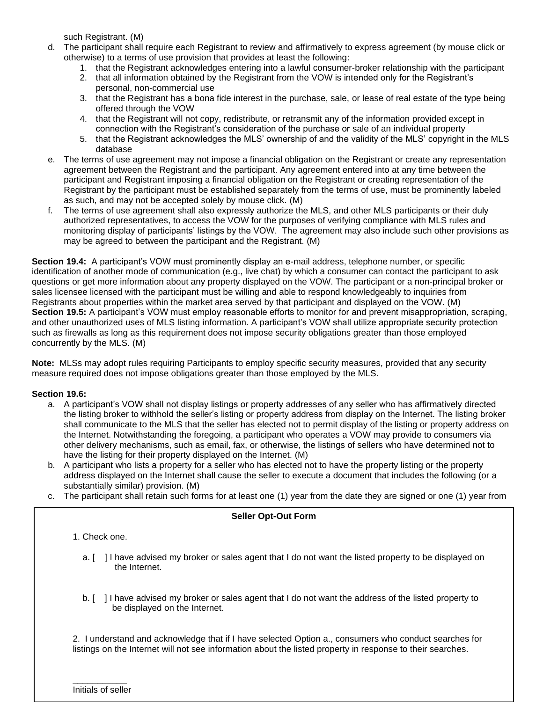such Registrant. (M)

- d. The participant shall require each Registrant to review and affirmatively to express agreement (by mouse click or otherwise) to a terms of use provision that provides at least the following:
	- 1. that the Registrant acknowledges entering into a lawful consumer-broker relationship with the participant
	- 2. that all information obtained by the Registrant from the VOW is intended only for the Registrant's personal, non-commercial use
	- 3. that the Registrant has a bona fide interest in the purchase, sale, or lease of real estate of the type being offered through the VOW
	- 4. that the Registrant will not copy, redistribute, or retransmit any of the information provided except in connection with the Registrant's consideration of the purchase or sale of an individual property
	- 5. that the Registrant acknowledges the MLS' ownership of and the validity of the MLS' copyright in the MLS database
- e. The terms of use agreement may not impose a financial obligation on the Registrant or create any representation agreement between the Registrant and the participant. Any agreement entered into at any time between the participant and Registrant imposing a financial obligation on the Registrant or creating representation of the Registrant by the participant must be established separately from the terms of use, must be prominently labeled as such, and may not be accepted solely by mouse click. (M)
- f. The terms of use agreement shall also expressly authorize the MLS, and other MLS participants or their duly authorized representatives, to access the VOW for the purposes of verifying compliance with MLS rules and monitoring display of participants' listings by the VOW. The agreement may also include such other provisions as may be agreed to between the participant and the Registrant. (M)

**Section 19.4:** A participant's VOW must prominently display an e-mail address, telephone number, or specific identification of another mode of communication (e.g., live chat) by which a consumer can contact the participant to ask questions or get more information about any property displayed on the VOW. The participant or a non-principal broker or sales licensee licensed with the participant must be willing and able to respond knowledgeably to inquiries from Registrants about properties within the market area served by that participant and displayed on the VOW. (M) **Section 19.5:** A participant's VOW must employ reasonable efforts to monitor for and prevent misappropriation, scraping, and other unauthorized uses of MLS listing information. A participant's VOW shall utilize appropriate security protection such as firewalls as long as this requirement does not impose security obligations greater than those employed concurrently by the MLS. (M)

**Note:** MLSs may adopt rules requiring Participants to employ specific security measures, provided that any security measure required does not impose obligations greater than those employed by the MLS.

### **Section 19.6:**

- a. A participant's VOW shall not display listings or property addresses of any seller who has affirmatively directed the listing broker to withhold the seller's listing or property address from display on the Internet. The listing broker shall communicate to the MLS that the seller has elected not to permit display of the listing or property address on the Internet. Notwithstanding the foregoing, a participant who operates a VOW may provide to consumers via other delivery mechanisms, such as email, fax, or otherwise, the listings of sellers who have determined not to have the listing for their property displayed on the Internet. (M)
- b. A participant who lists a property for a seller who has elected not to have the property listing or the property address displayed on the Internet shall cause the seller to execute a document that includes the following (or a substantially similar) provision. (M)
- c. The participant shall retain such forms for at least one (1) year from the date they are signed or one (1) year from

#### **Seller Opt-Out Form**

1. Check one.

- a. [ ] I have advised my broker or sales agent that I do not want the listed property to be displayed on the Internet.
- b. [ ] I have advised my broker or sales agent that I do not want the address of the listed property to be displayed on the Internet.

listings on the Internet will not see information about the listed property in response to their searches. 2. I understand and acknowledge that if I have selected Option a., consumers who conduct searches for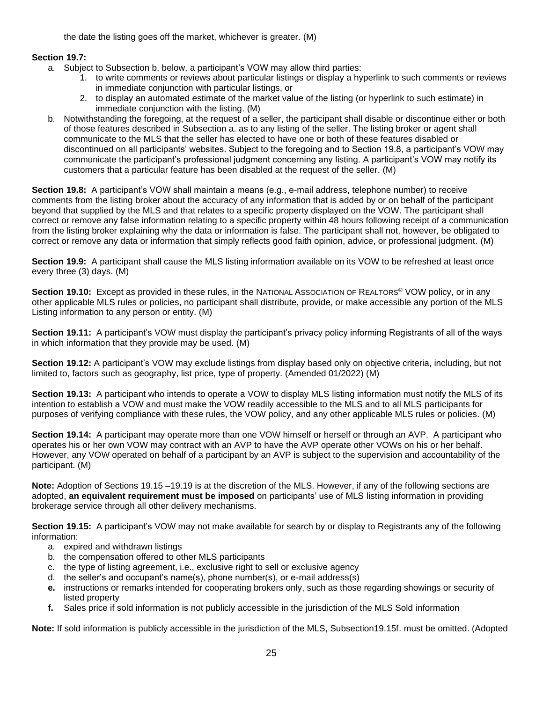the date the listing goes off the market, whichever is greater. (M)

### **Section 19.7:**

- a. Subject to Subsection b, below, a participant's VOW may allow third parties:
	- 1. to write comments or reviews about particular listings or display a hyperlink to such comments or reviews in immediate conjunction with particular listings, or
	- 2. to display an automated estimate of the market value of the listing (or hyperlink to such estimate) in immediate conjunction with the listing. (M)
- b. Notwithstanding the foregoing, at the request of a seller, the participant shall disable or discontinue either or both of those features described in Subsection a. as to any listing of the seller. The listing broker or agent shall communicate to the MLS that the seller has elected to have one or both of these features disabled or discontinued on all participants' websites. Subject to the foregoing and to Section 19.8, a participant's VOW may communicate the participant's professional judgment concerning any listing. A participant's VOW may notify its customers that a particular feature has been disabled at the request of the seller. (M)

**Section 19.8:** A participant's VOW shall maintain a means (e.g., e-mail address, telephone number) to receive comments from the listing broker about the accuracy of any information that is added by or on behalf of the participant beyond that supplied by the MLS and that relates to a specific property displayed on the VOW. The participant shall correct or remove any false information relating to a specific property within 48 hours following receipt of a communication from the listing broker explaining why the data or information is false. The participant shall not, however, be obligated to correct or remove any data or information that simply reflects good faith opinion, advice, or professional judgment. (M)

**Section 19.9:** A participant shall cause the MLS listing information available on its VOW to be refreshed at least once every three (3) days. (M)

**Section 19.10:** Except as provided in these rules, in the NATIONAL ASSOCIATION OF REALTORS<sup>®</sup> VOW policy, or in any other applicable MLS rules or policies, no participant shall distribute, provide, or make accessible any portion of the MLS Listing information to any person or entity. (M)

**Section 19.11:** A participant's VOW must display the participant's privacy policy informing Registrants of all of the ways in which information that they provide may be used. (M)

**Section 19.12:** A participant's VOW may exclude listings from display based only on objective criteria, including, but not limited to, factors such as geography, list price, type of property. (Amended 01/2022) (M)

**Section 19.13:** A participant who intends to operate a VOW to display MLS listing information must notify the MLS of its intention to establish a VOW and must make the VOW readily accessible to the MLS and to all MLS participants for purposes of verifying compliance with these rules, the VOW policy, and any other applicable MLS rules or policies. (M)

**Section 19.14:** A participant may operate more than one VOW himself or herself or through an AVP. A participant who operates his or her own VOW may contract with an AVP to have the AVP operate other VOWs on his or her behalf. However, any VOW operated on behalf of a participant by an AVP is subject to the supervision and accountability of the participant. (M)

**Note:** Adoption of Sections 19.15 –19.19 is at the discretion of the MLS. However, if any of the following sections are adopted, **an equivalent requirement must be imposed** on participants' use of MLS listing information in providing brokerage service through all other delivery mechanisms.

**Section 19.15:** A participant's VOW may not make available for search by or display to Registrants any of the following information:

- a. expired and withdrawn listings
- b. the compensation offered to other MLS participants
- c. the type of listing agreement, i.e., exclusive right to sell or exclusive agency
- d. the seller's and occupant's name(s), phone number(s), or e-mail address(s)
- **e.** instructions or remarks intended for cooperating brokers only, such as those regarding showings or security of listed property
- **f.** Sales price if sold information is not publicly accessible in the jurisdiction of the MLS Sold information

**Note:** If sold information is publicly accessible in the jurisdiction of the MLS, Subsection19.15f. must be omitted. (Adopted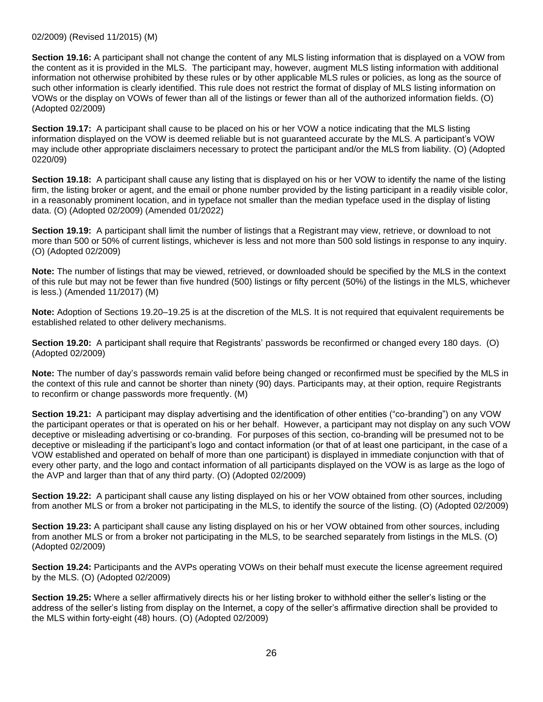**Section 19.16:** A participant shall not change the content of any MLS listing information that is displayed on a VOW from the content as it is provided in the MLS. The participant may, however, augment MLS listing information with additional information not otherwise prohibited by these rules or by other applicable MLS rules or policies, as long as the source of such other information is clearly identified. This rule does not restrict the format of display of MLS listing information on VOWs or the display on VOWs of fewer than all of the listings or fewer than all of the authorized information fields. (O) (Adopted 02/2009)

**Section 19.17:** A participant shall cause to be placed on his or her VOW a notice indicating that the MLS listing information displayed on the VOW is deemed reliable but is not guaranteed accurate by the MLS. A participant's VOW may include other appropriate disclaimers necessary to protect the participant and/or the MLS from liability. (O) (Adopted 0220/09)

**Section 19.18:** A participant shall cause any listing that is displayed on his or her VOW to identify the name of the listing firm, the listing broker or agent, and the email or phone number provided by the listing participant in a readily visible color, in a reasonably prominent location, and in typeface not smaller than the median typeface used in the display of listing data. (O) (Adopted 02/2009) (Amended 01/2022)

**Section 19.19:** A participant shall limit the number of listings that a Registrant may view, retrieve, or download to not more than 500 or 50% of current listings, whichever is less and not more than 500 sold listings in response to any inquiry. (O) (Adopted 02/2009)

**Note:** The number of listings that may be viewed, retrieved, or downloaded should be specified by the MLS in the context of this rule but may not be fewer than five hundred (500) listings or fifty percent (50%) of the listings in the MLS, whichever is less.) (Amended 11/2017) (M)

**Note:** Adoption of Sections 19.20–19.25 is at the discretion of the MLS. It is not required that equivalent requirements be established related to other delivery mechanisms.

**Section 19.20:** A participant shall require that Registrants' passwords be reconfirmed or changed every 180 days. (O) (Adopted 02/2009)

**Note:** The number of day's passwords remain valid before being changed or reconfirmed must be specified by the MLS in the context of this rule and cannot be shorter than ninety (90) days. Participants may, at their option, require Registrants to reconfirm or change passwords more frequently. (M)

**Section 19.21:** A participant may display advertising and the identification of other entities ("co-branding") on any VOW the participant operates or that is operated on his or her behalf. However, a participant may not display on any such VOW deceptive or misleading advertising or co-branding. For purposes of this section, co-branding will be presumed not to be deceptive or misleading if the participant's logo and contact information (or that of at least one participant, in the case of a VOW established and operated on behalf of more than one participant) is displayed in immediate conjunction with that of every other party, and the logo and contact information of all participants displayed on the VOW is as large as the logo of the AVP and larger than that of any third party. (O) (Adopted 02/2009)

**Section 19.22:** A participant shall cause any listing displayed on his or her VOW obtained from other sources, including from another MLS or from a broker not participating in the MLS, to identify the source of the listing. (O) (Adopted 02/2009)

**Section 19.23:** A participant shall cause any listing displayed on his or her VOW obtained from other sources, including from another MLS or from a broker not participating in the MLS, to be searched separately from listings in the MLS. (O) (Adopted 02/2009)

**Section 19.24:** Participants and the AVPs operating VOWs on their behalf must execute the license agreement required by the MLS. (O) (Adopted 02/2009)

**Section 19.25:** Where a seller affirmatively directs his or her listing broker to withhold either the seller's listing or the address of the seller's listing from display on the Internet, a copy of the seller's affirmative direction shall be provided to the MLS within forty-eight (48) hours. (O) (Adopted 02/2009)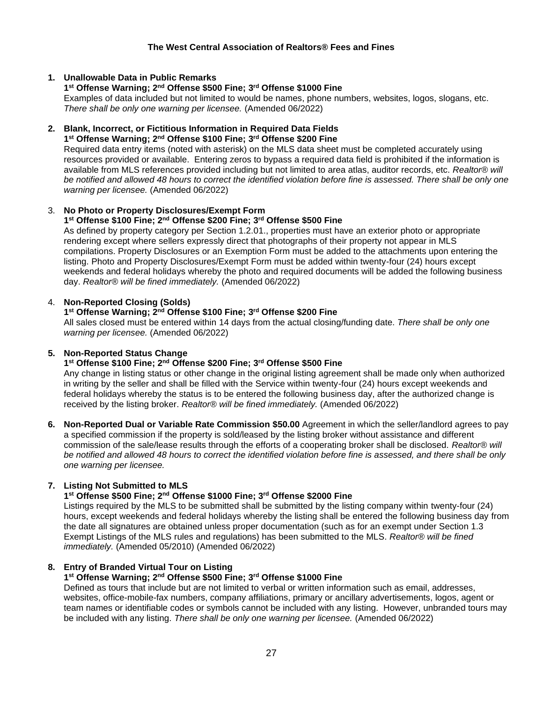# **1. Unallowable Data in Public Remarks**

#### **1 st Offense Warning; 2 nd Offense \$500 Fine; 3 rd Offense \$1000 Fine**

Examples of data included but not limited to would be names, phone numbers, websites, logos, slogans, etc. *There shall be only one warning per licensee.* (Amended 06/2022)

#### **2. Blank, Incorrect, or Fictitious Information in Required Data Fields 1 st Offense Warning; 2 nd Offense \$100 Fine; 3 rd Offense \$200 Fine**

Required data entry items (noted with asterisk) on the MLS data sheet must be completed accurately using resources provided or available. Entering zeros to bypass a required data field is prohibited if the information is available from MLS references provided including but not limited to area atlas, auditor records, etc. *Realtor® will be notified and allowed 48 hours to correct the identified violation before fine is assessed. There shall be only one warning per licensee.* (Amended 06/2022)

### 3. **No Photo or Property Disclosures/Exempt Form**

# **1 st Offense \$100 Fine; 2 nd Offense \$200 Fine; 3 rd Offense \$500 Fine**

As defined by property category per Section 1.2.01., properties must have an exterior photo or appropriate rendering except where sellers expressly direct that photographs of their property not appear in MLS compilations. Property Disclosures or an Exemption Form must be added to the attachments upon entering the listing. Photo and Property Disclosures/Exempt Form must be added within twenty-four (24) hours except weekends and federal holidays whereby the photo and required documents will be added the following business day. *Realtor® will be fined immediately.* (Amended 06/2022)

### 4. **Non-Reported Closing (Solds)**

# **1 st Offense Warning; 2 nd Offense \$100 Fine; 3 rd Offense \$200 Fine**

All sales closed must be entered within 14 days from the actual closing/funding date. *There shall be only one warning per licensee.* (Amended 06/2022)

### **5. Non-Reported Status Change**

### **1 st Offense \$100 Fine; 2 nd Offense \$200 Fine; 3 rd Offense \$500 Fine**

Any change in listing status or other change in the original listing agreement shall be made only when authorized in writing by the seller and shall be filled with the Service within twenty-four (24) hours except weekends and federal holidays whereby the status is to be entered the following business day, after the authorized change is received by the listing broker. *Realtor® will be fined immediately.* (Amended 06/2022)

**6. Non-Reported Dual or Variable Rate Commission \$50.00** Agreement in which the seller/landlord agrees to pay a specified commission if the property is sold/leased by the listing broker without assistance and different commission of the sale/lease results through the efforts of a cooperating broker shall be disclosed. *Realtor® will be notified and allowed 48 hours to correct the identified violation before fine is assessed, and there shall be only one warning per licensee.*

### **7. Listing Not Submitted to MLS**

### **1 st Offense \$500 Fine; 2nd Offense \$1000 Fine; 3rd Offense \$2000 Fine**

Listings required by the MLS to be submitted shall be submitted by the listing company within twenty-four (24) hours, except weekends and federal holidays whereby the listing shall be entered the following business day from the date all signatures are obtained unless proper documentation (such as for an exempt under Section 1.3 Exempt Listings of the MLS rules and regulations) has been submitted to the MLS. *Realtor® will be fined immediately.* (Amended 05/2010) (Amended 06/2022)

### **8. Entry of Branded Virtual Tour on Listing**

# **1 st Offense Warning; 2nd Offense \$500 Fine; 3rd Offense \$1000 Fine**

Defined as tours that include but are not limited to verbal or written information such as email, addresses, websites, office-mobile-fax numbers, company affiliations, primary or ancillary advertisements, logos, agent or team names or identifiable codes or symbols cannot be included with any listing. However, unbranded tours may be included with any listing. *There shall be only one warning per licensee.* (Amended 06/2022)